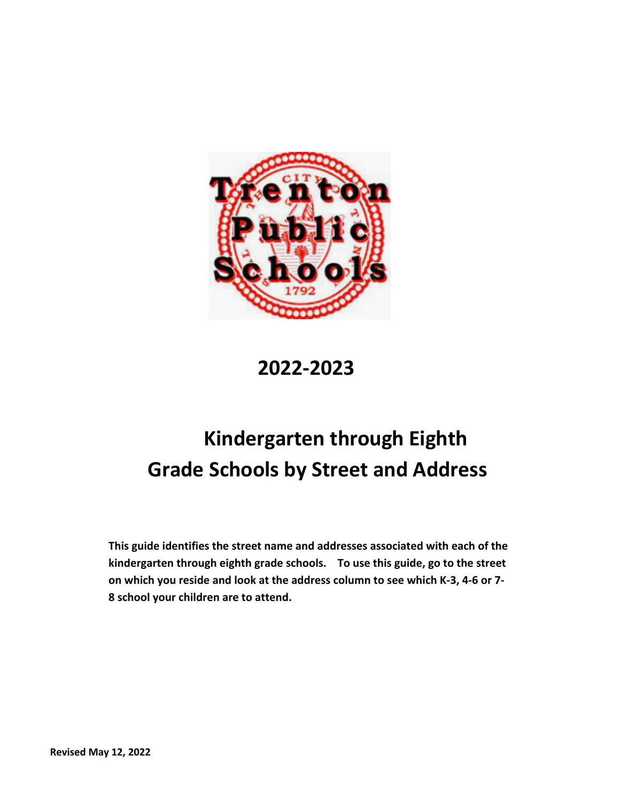

**2022-2023**

## **Kindergarten through Eighth Grade Schools by Street and Address**

**This guide identifies the street name and addresses associated with each of the kindergarten through eighth grade schools. To use this guide, go to the street on which you reside and look at the address column to see which K-3, 4-6 or 7- 8 school your children are to attend.**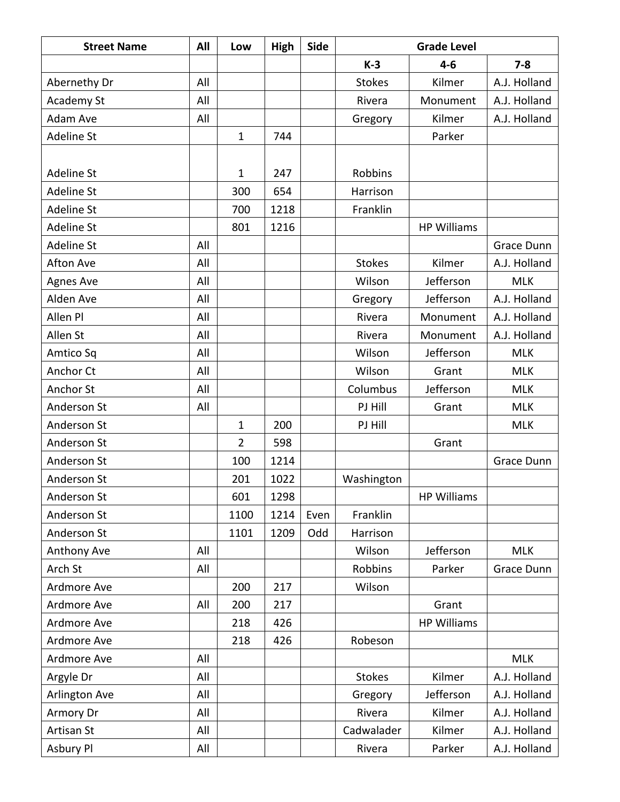| <b>Street Name</b> | All | Low            | <b>High</b> | Side |               | <b>Grade Level</b> |                   |  |  |
|--------------------|-----|----------------|-------------|------|---------------|--------------------|-------------------|--|--|
|                    |     |                |             |      | $K-3$         | $4 - 6$            | $7 - 8$           |  |  |
| Abernethy Dr       | All |                |             |      | <b>Stokes</b> | Kilmer             | A.J. Holland      |  |  |
| <b>Academy St</b>  | All |                |             |      | Rivera        | Monument           | A.J. Holland      |  |  |
| <b>Adam Ave</b>    | All |                |             |      | Gregory       | Kilmer             | A.J. Holland      |  |  |
| <b>Adeline St</b>  |     | $\mathbf{1}$   | 744         |      |               | Parker             |                   |  |  |
|                    |     |                |             |      |               |                    |                   |  |  |
| <b>Adeline St</b>  |     | $\mathbf{1}$   | 247         |      | Robbins       |                    |                   |  |  |
| Adeline St         |     | 300            | 654         |      | Harrison      |                    |                   |  |  |
| <b>Adeline St</b>  |     | 700            | 1218        |      | Franklin      |                    |                   |  |  |
| Adeline St         |     | 801            | 1216        |      |               | <b>HP Williams</b> |                   |  |  |
| <b>Adeline St</b>  | All |                |             |      |               |                    | Grace Dunn        |  |  |
| Afton Ave          | All |                |             |      | <b>Stokes</b> | Kilmer             | A.J. Holland      |  |  |
| Agnes Ave          | All |                |             |      | Wilson        | Jefferson          | <b>MLK</b>        |  |  |
| Alden Ave          | All |                |             |      | Gregory       | Jefferson          | A.J. Holland      |  |  |
| Allen Pl           | All |                |             |      | Rivera        | Monument           | A.J. Holland      |  |  |
| Allen St           | All |                |             |      | Rivera        | Monument           | A.J. Holland      |  |  |
| Amtico Sq          | All |                |             |      | Wilson        | Jefferson          | <b>MLK</b>        |  |  |
| Anchor Ct          | All |                |             |      | Wilson        | Grant              | <b>MLK</b>        |  |  |
| Anchor St          | All |                |             |      | Columbus      | Jefferson          | <b>MLK</b>        |  |  |
| Anderson St        | All |                |             |      | PJ Hill       | Grant              | <b>MLK</b>        |  |  |
| Anderson St        |     | $\mathbf{1}$   | 200         |      | PJ Hill       |                    | <b>MLK</b>        |  |  |
| Anderson St        |     | $\overline{2}$ | 598         |      |               | Grant              |                   |  |  |
| Anderson St        |     | 100            | 1214        |      |               |                    | <b>Grace Dunn</b> |  |  |
| Anderson St        |     | 201            | 1022        |      | Washington    |                    |                   |  |  |
| Anderson St        |     | 601            | 1298        |      |               | <b>HP Williams</b> |                   |  |  |
| Anderson St        |     | 1100           | 1214        | Even | Franklin      |                    |                   |  |  |
| Anderson St        |     | 1101           | 1209        | Odd  | Harrison      |                    |                   |  |  |
| Anthony Ave        | All |                |             |      | Wilson        | Jefferson          | <b>MLK</b>        |  |  |
| Arch St            | All |                |             |      | Robbins       | Parker             | Grace Dunn        |  |  |
| Ardmore Ave        |     | 200            | 217         |      | Wilson        |                    |                   |  |  |
| Ardmore Ave        | All | 200            | 217         |      |               | Grant              |                   |  |  |
| Ardmore Ave        |     | 218            | 426         |      |               | <b>HP Williams</b> |                   |  |  |
| Ardmore Ave        |     | 218            | 426         |      | Robeson       |                    |                   |  |  |
| Ardmore Ave        | All |                |             |      |               |                    | <b>MLK</b>        |  |  |
| Argyle Dr          | All |                |             |      | <b>Stokes</b> | Kilmer             | A.J. Holland      |  |  |
| Arlington Ave      | All |                |             |      | Gregory       | Jefferson          | A.J. Holland      |  |  |
| Armory Dr          | All |                |             |      | Rivera        | Kilmer             | A.J. Holland      |  |  |
| Artisan St         | All |                |             |      | Cadwalader    | Kilmer             | A.J. Holland      |  |  |
| Asbury Pl          | All |                |             |      | Rivera        | Parker             | A.J. Holland      |  |  |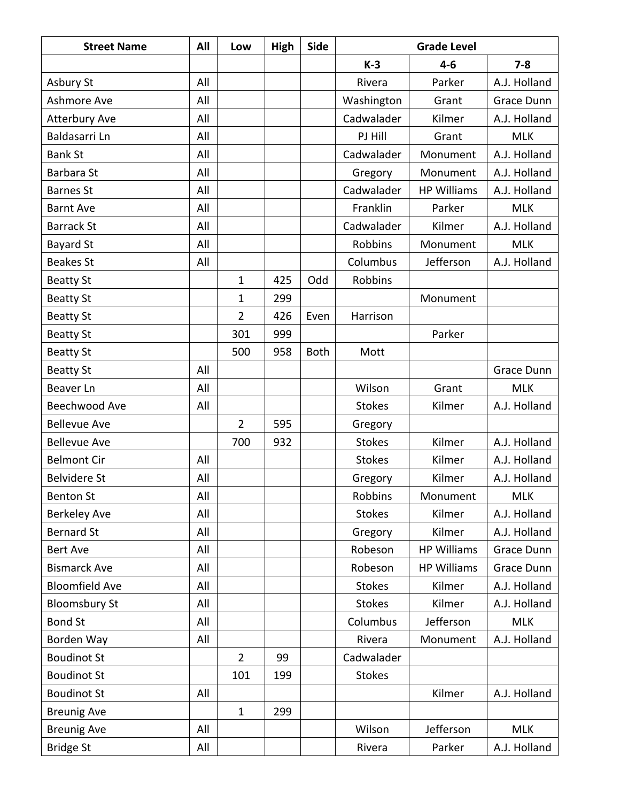| <b>Street Name</b>    | All | Low            | <b>High</b> | <b>Side</b> |                | <b>Grade Level</b> |                   |
|-----------------------|-----|----------------|-------------|-------------|----------------|--------------------|-------------------|
|                       |     |                |             |             | $K-3$          | $4 - 6$            | $7 - 8$           |
| Asbury St             | All |                |             |             | Rivera         | Parker             | A.J. Holland      |
| Ashmore Ave           | All |                |             |             | Washington     | Grant              | <b>Grace Dunn</b> |
| <b>Atterbury Ave</b>  | All |                |             |             | Cadwalader     | Kilmer             | A.J. Holland      |
| Baldasarri Ln         | All |                |             |             | PJ Hill        | Grant              | <b>MLK</b>        |
| <b>Bank St</b>        | All |                |             |             | Cadwalader     | Monument           | A.J. Holland      |
| Barbara St            | All |                |             |             | Gregory        | Monument           | A.J. Holland      |
| <b>Barnes St</b>      | All |                |             |             | Cadwalader     | <b>HP Williams</b> | A.J. Holland      |
| <b>Barnt Ave</b>      | All |                |             |             | Franklin       | Parker             | <b>MLK</b>        |
| <b>Barrack St</b>     | All |                |             |             | Cadwalader     | Kilmer             | A.J. Holland      |
| <b>Bayard St</b>      | All |                |             |             | Robbins        | Monument           | <b>MLK</b>        |
| <b>Beakes St</b>      | All |                |             |             | Columbus       | Jefferson          | A.J. Holland      |
| <b>Beatty St</b>      |     | $\mathbf{1}$   | 425         | Odd         | Robbins        |                    |                   |
| <b>Beatty St</b>      |     | 1              | 299         |             |                | Monument           |                   |
| <b>Beatty St</b>      |     | $\overline{2}$ | 426         | Even        | Harrison       |                    |                   |
| <b>Beatty St</b>      |     | 301            | 999         |             |                | Parker             |                   |
| <b>Beatty St</b>      |     | 500            | 958         | <b>Both</b> | Mott           |                    |                   |
| <b>Beatty St</b>      | All |                |             |             |                |                    | Grace Dunn        |
| Beaver Ln             | All |                |             |             | Wilson         | Grant              | <b>MLK</b>        |
| Beechwood Ave         | All |                |             |             | <b>Stokes</b>  | Kilmer             | A.J. Holland      |
| <b>Bellevue Ave</b>   |     | $\overline{2}$ | 595         |             | Gregory        |                    |                   |
| <b>Bellevue Ave</b>   |     | 700            | 932         |             | <b>Stokes</b>  | Kilmer             | A.J. Holland      |
| <b>Belmont Cir</b>    | All |                |             |             | <b>Stokes</b>  | Kilmer             | A.J. Holland      |
| <b>Belvidere St</b>   | All |                |             |             | Gregory        | Kilmer             | A.J. Holland      |
| <b>Benton St</b>      | All |                |             |             | <b>Robbins</b> | Monument           | <b>MLK</b>        |
| <b>Berkeley Ave</b>   | All |                |             |             | <b>Stokes</b>  | Kilmer             | A.J. Holland      |
| <b>Bernard St</b>     | All |                |             |             | Gregory        | Kilmer             | A.J. Holland      |
| <b>Bert Ave</b>       | All |                |             |             | Robeson        | <b>HP Williams</b> | Grace Dunn        |
| <b>Bismarck Ave</b>   | All |                |             |             | Robeson        | <b>HP Williams</b> | <b>Grace Dunn</b> |
| <b>Bloomfield Ave</b> | All |                |             |             | <b>Stokes</b>  | Kilmer             | A.J. Holland      |
| <b>Bloomsbury St</b>  | All |                |             |             | <b>Stokes</b>  | Kilmer             | A.J. Holland      |
| <b>Bond St</b>        | All |                |             |             | Columbus       | Jefferson          | <b>MLK</b>        |
| Borden Way            | All |                |             |             | Rivera         | Monument           | A.J. Holland      |
| <b>Boudinot St</b>    |     | $\overline{2}$ | 99          |             | Cadwalader     |                    |                   |
| <b>Boudinot St</b>    |     | 101            | 199         |             | <b>Stokes</b>  |                    |                   |
| <b>Boudinot St</b>    | All |                |             |             |                | Kilmer             | A.J. Holland      |
| <b>Breunig Ave</b>    |     | $\mathbf{1}$   | 299         |             |                |                    |                   |
| <b>Breunig Ave</b>    | All |                |             |             | Wilson         | Jefferson          | <b>MLK</b>        |
| <b>Bridge St</b>      | All |                |             |             | Rivera         | Parker             | A.J. Holland      |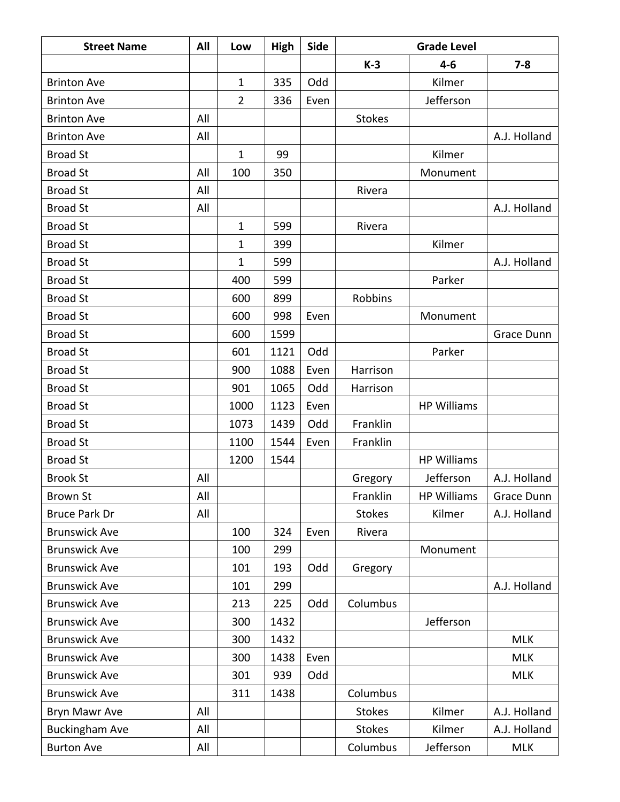| <b>Street Name</b>    | All | Low            | High | <b>Side</b> |               | <b>Grade Level</b> |                   |
|-----------------------|-----|----------------|------|-------------|---------------|--------------------|-------------------|
|                       |     |                |      |             | $K-3$         | $4 - 6$            | $7 - 8$           |
| <b>Brinton Ave</b>    |     | $\mathbf{1}$   | 335  | Odd         |               | Kilmer             |                   |
| <b>Brinton Ave</b>    |     | $\overline{2}$ | 336  | Even        |               | Jefferson          |                   |
| <b>Brinton Ave</b>    | All |                |      |             | <b>Stokes</b> |                    |                   |
| <b>Brinton Ave</b>    | All |                |      |             |               |                    | A.J. Holland      |
| <b>Broad St</b>       |     | $\mathbf 1$    | 99   |             |               | Kilmer             |                   |
| <b>Broad St</b>       | All | 100            | 350  |             |               | Monument           |                   |
| <b>Broad St</b>       | All |                |      |             | Rivera        |                    |                   |
| <b>Broad St</b>       | All |                |      |             |               |                    | A.J. Holland      |
| <b>Broad St</b>       |     | $\mathbf{1}$   | 599  |             | Rivera        |                    |                   |
| <b>Broad St</b>       |     | $\mathbf{1}$   | 399  |             |               | Kilmer             |                   |
| <b>Broad St</b>       |     | 1              | 599  |             |               |                    | A.J. Holland      |
| <b>Broad St</b>       |     | 400            | 599  |             |               | Parker             |                   |
| <b>Broad St</b>       |     | 600            | 899  |             | Robbins       |                    |                   |
| <b>Broad St</b>       |     | 600            | 998  | Even        |               | Monument           |                   |
| <b>Broad St</b>       |     | 600            | 1599 |             |               |                    | <b>Grace Dunn</b> |
| <b>Broad St</b>       |     | 601            | 1121 | Odd         |               | Parker             |                   |
| <b>Broad St</b>       |     | 900            | 1088 | Even        | Harrison      |                    |                   |
| <b>Broad St</b>       |     | 901            | 1065 | Odd         | Harrison      |                    |                   |
| <b>Broad St</b>       |     | 1000           | 1123 | Even        |               | <b>HP Williams</b> |                   |
| <b>Broad St</b>       |     | 1073           | 1439 | Odd         | Franklin      |                    |                   |
| <b>Broad St</b>       |     | 1100           | 1544 | Even        | Franklin      |                    |                   |
| <b>Broad St</b>       |     | 1200           | 1544 |             |               | <b>HP Williams</b> |                   |
| <b>Brook St</b>       | All |                |      |             | Gregory       | Jefferson          | A.J. Holland      |
| <b>Brown St</b>       | All |                |      |             | Franklin      | <b>HP Williams</b> | Grace Dunn        |
| <b>Bruce Park Dr</b>  | All |                |      |             | <b>Stokes</b> | Kilmer             | A.J. Holland      |
| <b>Brunswick Ave</b>  |     | 100            | 324  | Even        | Rivera        |                    |                   |
| <b>Brunswick Ave</b>  |     | 100            | 299  |             |               | Monument           |                   |
| <b>Brunswick Ave</b>  |     | 101            | 193  | Odd         | Gregory       |                    |                   |
| <b>Brunswick Ave</b>  |     | 101            | 299  |             |               |                    | A.J. Holland      |
| <b>Brunswick Ave</b>  |     | 213            | 225  | Odd         | Columbus      |                    |                   |
| <b>Brunswick Ave</b>  |     | 300            | 1432 |             |               | Jefferson          |                   |
| <b>Brunswick Ave</b>  |     | 300            | 1432 |             |               |                    | <b>MLK</b>        |
| <b>Brunswick Ave</b>  |     | 300            | 1438 | Even        |               |                    | <b>MLK</b>        |
| <b>Brunswick Ave</b>  |     | 301            | 939  | Odd         |               |                    | <b>MLK</b>        |
| <b>Brunswick Ave</b>  |     | 311            | 1438 |             | Columbus      |                    |                   |
| Bryn Mawr Ave         | All |                |      |             | <b>Stokes</b> | Kilmer             | A.J. Holland      |
| <b>Buckingham Ave</b> | All |                |      |             | <b>Stokes</b> | Kilmer             | A.J. Holland      |
| <b>Burton Ave</b>     | All |                |      |             | Columbus      | Jefferson          | <b>MLK</b>        |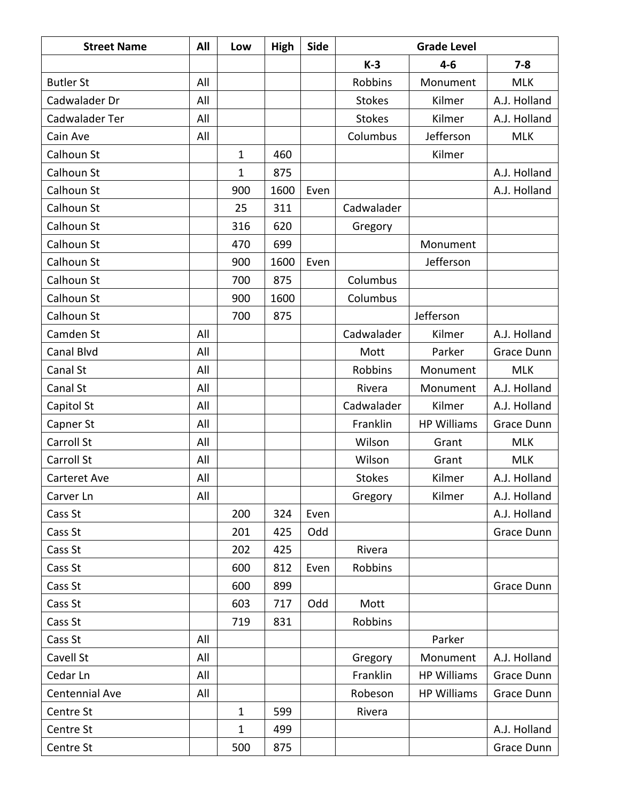| <b>Street Name</b> | All | Low          | <b>High</b> | Side | <b>Grade Level</b> |                    |              |  |
|--------------------|-----|--------------|-------------|------|--------------------|--------------------|--------------|--|
|                    |     |              |             |      | $K-3$              | $4 - 6$            | $7 - 8$      |  |
| <b>Butler St</b>   | All |              |             |      | Robbins            | Monument           | <b>MLK</b>   |  |
| Cadwalader Dr      | All |              |             |      | <b>Stokes</b>      | Kilmer             | A.J. Holland |  |
| Cadwalader Ter     | All |              |             |      | <b>Stokes</b>      | Kilmer             | A.J. Holland |  |
| Cain Ave           | All |              |             |      | Columbus           | Jefferson          | <b>MLK</b>   |  |
| Calhoun St         |     | $\mathbf{1}$ | 460         |      |                    | Kilmer             |              |  |
| Calhoun St         |     | 1            | 875         |      |                    |                    | A.J. Holland |  |
| Calhoun St         |     | 900          | 1600        | Even |                    |                    | A.J. Holland |  |
| Calhoun St         |     | 25           | 311         |      | Cadwalader         |                    |              |  |
| Calhoun St         |     | 316          | 620         |      | Gregory            |                    |              |  |
| Calhoun St         |     | 470          | 699         |      |                    | Monument           |              |  |
| Calhoun St         |     | 900          | 1600        | Even |                    | Jefferson          |              |  |
| Calhoun St         |     | 700          | 875         |      | Columbus           |                    |              |  |
| Calhoun St         |     | 900          | 1600        |      | Columbus           |                    |              |  |
| Calhoun St         |     | 700          | 875         |      |                    | Jefferson          |              |  |
| Camden St          | All |              |             |      | Cadwalader         | Kilmer             | A.J. Holland |  |
| Canal Blvd         | All |              |             |      | Mott               | Parker             | Grace Dunn   |  |
| Canal St           | All |              |             |      | Robbins            | Monument           | <b>MLK</b>   |  |
| Canal St           | All |              |             |      | Rivera             | Monument           | A.J. Holland |  |
| Capitol St         | All |              |             |      | Cadwalader         | Kilmer             | A.J. Holland |  |
| Capner St          | All |              |             |      | Franklin           | <b>HP Williams</b> | Grace Dunn   |  |
| Carroll St         | All |              |             |      | Wilson             | Grant              | <b>MLK</b>   |  |
| Carroll St         | All |              |             |      | Wilson             | Grant              | <b>MLK</b>   |  |
| Carteret Ave       | All |              |             |      | <b>Stokes</b>      | Kilmer             | A.J. Holland |  |
| Carver Ln          | All |              |             |      | Gregory            | Kilmer             | A.J. Holland |  |
| Cass St            |     | 200          | 324         | Even |                    |                    | A.J. Holland |  |
| Cass St            |     | 201          | 425         | Odd  |                    |                    | Grace Dunn   |  |
| Cass St            |     | 202          | 425         |      | Rivera             |                    |              |  |
| Cass St            |     | 600          | 812         | Even | Robbins            |                    |              |  |
| Cass St            |     | 600          | 899         |      |                    |                    | Grace Dunn   |  |
| Cass St            |     | 603          | 717         | Odd  | Mott               |                    |              |  |
| Cass St            |     | 719          | 831         |      | Robbins            |                    |              |  |
| Cass St            | All |              |             |      |                    | Parker             |              |  |
| Cavell St          | All |              |             |      | Gregory            | Monument           | A.J. Holland |  |
| Cedar Ln           | All |              |             |      | Franklin           | <b>HP Williams</b> | Grace Dunn   |  |
| Centennial Ave     | All |              |             |      | Robeson            | <b>HP Williams</b> | Grace Dunn   |  |
| Centre St          |     | $\mathbf{1}$ | 599         |      | Rivera             |                    |              |  |
| Centre St          |     | 1            | 499         |      |                    |                    | A.J. Holland |  |
| Centre St          |     | 500          | 875         |      |                    |                    | Grace Dunn   |  |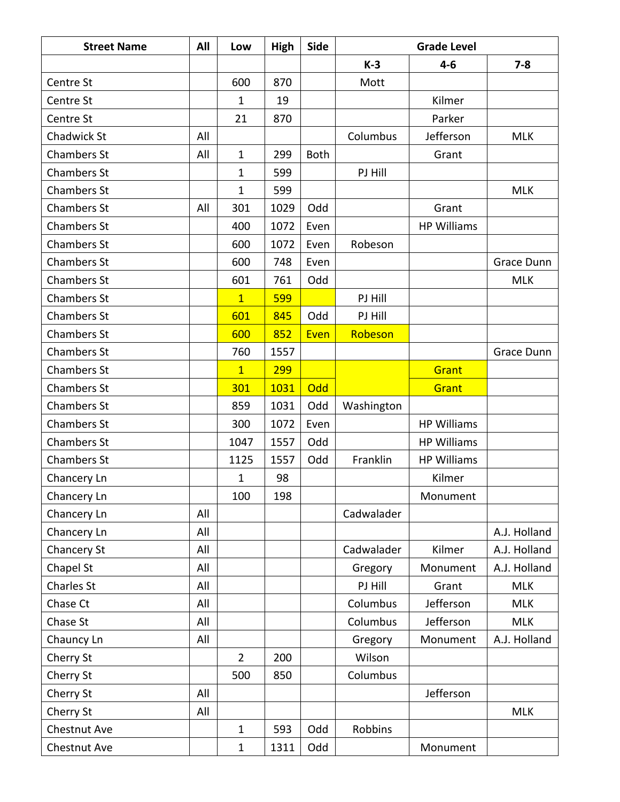| <b>Street Name</b> | All | Low            | <b>High</b> | Side        |            | <b>Grade Level</b> |              |  |  |
|--------------------|-----|----------------|-------------|-------------|------------|--------------------|--------------|--|--|
|                    |     |                |             |             | $K-3$      | $4 - 6$            | $7 - 8$      |  |  |
| Centre St          |     | 600            | 870         |             | Mott       |                    |              |  |  |
| Centre St          |     | 1              | 19          |             |            | Kilmer             |              |  |  |
| Centre St          |     | 21             | 870         |             |            | Parker             |              |  |  |
| Chadwick St        | All |                |             |             | Columbus   | Jefferson          | <b>MLK</b>   |  |  |
| <b>Chambers St</b> | All | $\mathbf{1}$   | 299         | <b>Both</b> |            | Grant              |              |  |  |
| <b>Chambers St</b> |     | $\mathbf{1}$   | 599         |             | PJ Hill    |                    |              |  |  |
| <b>Chambers St</b> |     | $\mathbf{1}$   | 599         |             |            |                    | <b>MLK</b>   |  |  |
| Chambers St        | All | 301            | 1029        | Odd         |            | Grant              |              |  |  |
| <b>Chambers St</b> |     | 400            | 1072        | Even        |            | <b>HP Williams</b> |              |  |  |
| <b>Chambers St</b> |     | 600            | 1072        | Even        | Robeson    |                    |              |  |  |
| <b>Chambers St</b> |     | 600            | 748         | Even        |            |                    | Grace Dunn   |  |  |
| <b>Chambers St</b> |     | 601            | 761         | Odd         |            |                    | <b>MLK</b>   |  |  |
| <b>Chambers St</b> |     | $\overline{1}$ | 599         |             | PJ Hill    |                    |              |  |  |
| <b>Chambers St</b> |     | 601            | 845         | Odd         | PJ Hill    |                    |              |  |  |
| <b>Chambers St</b> |     | 600            | 852         | Even        | Robeson    |                    |              |  |  |
| <b>Chambers St</b> |     | 760            | 1557        |             |            |                    | Grace Dunn   |  |  |
| <b>Chambers St</b> |     | $\overline{1}$ | 299         |             |            | Grant              |              |  |  |
| <b>Chambers St</b> |     | 301            | 1031        | Odd         |            | Grant              |              |  |  |
| <b>Chambers St</b> |     | 859            | 1031        | Odd         | Washington |                    |              |  |  |
| Chambers St        |     | 300            | 1072        | Even        |            | <b>HP Williams</b> |              |  |  |
| Chambers St        |     | 1047           | 1557        | Odd         |            | <b>HP Williams</b> |              |  |  |
| <b>Chambers St</b> |     | 1125           | 1557        | Odd         | Franklin   | <b>HP Williams</b> |              |  |  |
| Chancery Ln        |     | $\mathbf{1}$   | 98          |             |            | Kilmer             |              |  |  |
| Chancery Ln        |     | 100            | 198         |             |            | Monument           |              |  |  |
| Chancery Ln        | All |                |             |             | Cadwalader |                    |              |  |  |
| Chancery Ln        | All |                |             |             |            |                    | A.J. Holland |  |  |
| Chancery St        | All |                |             |             | Cadwalader | Kilmer             | A.J. Holland |  |  |
| Chapel St          | All |                |             |             | Gregory    | Monument           | A.J. Holland |  |  |
| Charles St         | All |                |             |             | PJ Hill    | Grant              | <b>MLK</b>   |  |  |
| Chase Ct           | All |                |             |             | Columbus   | Jefferson          | <b>MLK</b>   |  |  |
| Chase St           | All |                |             |             | Columbus   | Jefferson          | <b>MLK</b>   |  |  |
| Chauncy Ln         | All |                |             |             | Gregory    | Monument           | A.J. Holland |  |  |
| Cherry St          |     | $\overline{2}$ | 200         |             | Wilson     |                    |              |  |  |
| Cherry St          |     | 500            | 850         |             | Columbus   |                    |              |  |  |
| Cherry St          | All |                |             |             |            | Jefferson          |              |  |  |
| Cherry St          | All |                |             |             |            |                    | <b>MLK</b>   |  |  |
| Chestnut Ave       |     | $\mathbf{1}$   | 593         | Odd         | Robbins    |                    |              |  |  |
| Chestnut Ave       |     | $\mathbf 1$    | 1311        | Odd         |            | Monument           |              |  |  |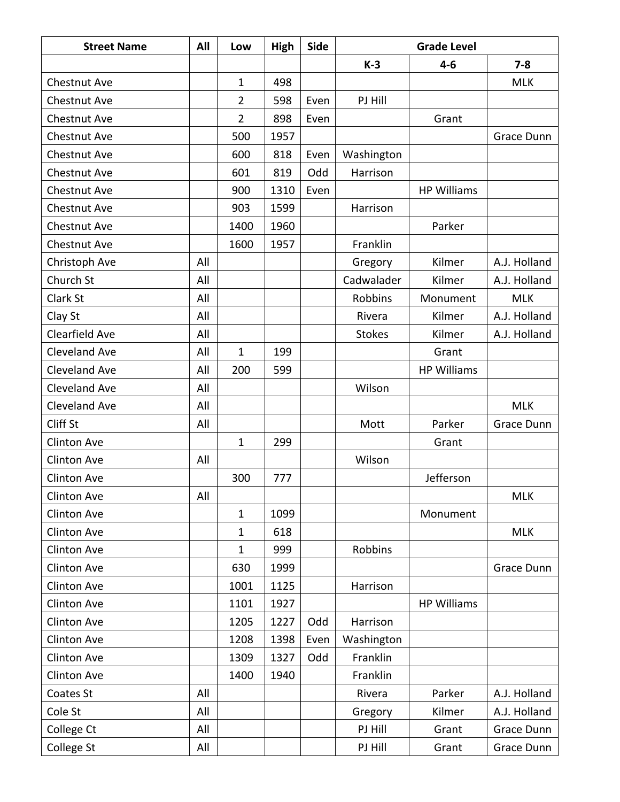| <b>Street Name</b>   | All | Low            | <b>High</b> | Side |               | <b>Grade Level</b> |              |
|----------------------|-----|----------------|-------------|------|---------------|--------------------|--------------|
|                      |     |                |             |      | $K-3$         | $4 - 6$            | $7 - 8$      |
| Chestnut Ave         |     | $\mathbf{1}$   | 498         |      |               |                    | <b>MLK</b>   |
| Chestnut Ave         |     | $\overline{2}$ | 598         | Even | PJ Hill       |                    |              |
| Chestnut Ave         |     | $\overline{2}$ | 898         | Even |               | Grant              |              |
| Chestnut Ave         |     | 500            | 1957        |      |               |                    | Grace Dunn   |
| Chestnut Ave         |     | 600            | 818         | Even | Washington    |                    |              |
| Chestnut Ave         |     | 601            | 819         | Odd  | Harrison      |                    |              |
| Chestnut Ave         |     | 900            | 1310        | Even |               | <b>HP Williams</b> |              |
| Chestnut Ave         |     | 903            | 1599        |      | Harrison      |                    |              |
| Chestnut Ave         |     | 1400           | 1960        |      |               | Parker             |              |
| Chestnut Ave         |     | 1600           | 1957        |      | Franklin      |                    |              |
| Christoph Ave        | All |                |             |      | Gregory       | Kilmer             | A.J. Holland |
| Church St            | All |                |             |      | Cadwalader    | Kilmer             | A.J. Holland |
| Clark St             | All |                |             |      | Robbins       | Monument           | <b>MLK</b>   |
| Clay St              | All |                |             |      | Rivera        | Kilmer             | A.J. Holland |
| Clearfield Ave       | All |                |             |      | <b>Stokes</b> | Kilmer             | A.J. Holland |
| <b>Cleveland Ave</b> | All | $\mathbf{1}$   | 199         |      |               | Grant              |              |
| <b>Cleveland Ave</b> | All | 200            | 599         |      |               | <b>HP Williams</b> |              |
| <b>Cleveland Ave</b> | All |                |             |      | Wilson        |                    |              |
| <b>Cleveland Ave</b> | All |                |             |      |               |                    | <b>MLK</b>   |
| Cliff St             | All |                |             |      | Mott          | Parker             | Grace Dunn   |
| <b>Clinton Ave</b>   |     | $\mathbf{1}$   | 299         |      |               | Grant              |              |
| <b>Clinton Ave</b>   | All |                |             |      | Wilson        |                    |              |
| <b>Clinton Ave</b>   |     | 300            | 777         |      |               | Jefferson          |              |
| <b>Clinton Ave</b>   | All |                |             |      |               |                    | <b>MLK</b>   |
| <b>Clinton Ave</b>   |     | $\mathbf{1}$   | 1099        |      |               | Monument           |              |
| <b>Clinton Ave</b>   |     | $\mathbf{1}$   | 618         |      |               |                    | <b>MLK</b>   |
| <b>Clinton Ave</b>   |     | $\mathbf{1}$   | 999         |      | Robbins       |                    |              |
| <b>Clinton Ave</b>   |     | 630            | 1999        |      |               |                    | Grace Dunn   |
| <b>Clinton Ave</b>   |     | 1001           | 1125        |      | Harrison      |                    |              |
| <b>Clinton Ave</b>   |     | 1101           | 1927        |      |               | <b>HP Williams</b> |              |
| <b>Clinton Ave</b>   |     | 1205           | 1227        | Odd  | Harrison      |                    |              |
| <b>Clinton Ave</b>   |     | 1208           | 1398        | Even | Washington    |                    |              |
| Clinton Ave          |     | 1309           | 1327        | Odd  | Franklin      |                    |              |
| <b>Clinton Ave</b>   |     | 1400           | 1940        |      | Franklin      |                    |              |
| Coates St            | All |                |             |      | Rivera        | Parker             | A.J. Holland |
| Cole St              | All |                |             |      | Gregory       | Kilmer             | A.J. Holland |
| College Ct           | All |                |             |      | PJ Hill       | Grant              | Grace Dunn   |
| College St           | All |                |             |      | PJ Hill       | Grant              | Grace Dunn   |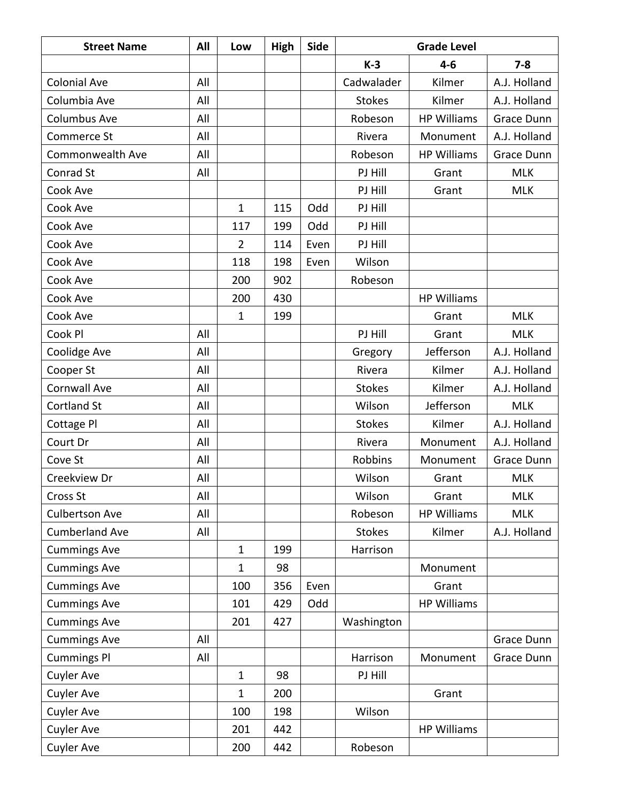| <b>Street Name</b>    | All | Low            | <b>High</b> | <b>Side</b> | <b>Grade Level</b> |                    |              |  |
|-----------------------|-----|----------------|-------------|-------------|--------------------|--------------------|--------------|--|
|                       |     |                |             |             | $K-3$              | $4 - 6$            | $7 - 8$      |  |
| <b>Colonial Ave</b>   | All |                |             |             | Cadwalader         | Kilmer             | A.J. Holland |  |
| Columbia Ave          | All |                |             |             | <b>Stokes</b>      | Kilmer             | A.J. Holland |  |
| Columbus Ave          | All |                |             |             | Robeson            | <b>HP Williams</b> | Grace Dunn   |  |
| Commerce St           | All |                |             |             | Rivera             | Monument           | A.J. Holland |  |
| Commonwealth Ave      | All |                |             |             | Robeson            | <b>HP Williams</b> | Grace Dunn   |  |
| Conrad St             | All |                |             |             | PJ Hill            | Grant              | <b>MLK</b>   |  |
| Cook Ave              |     |                |             |             | PJ Hill            | Grant              | <b>MLK</b>   |  |
| Cook Ave              |     | $\mathbf{1}$   | 115         | Odd         | PJ Hill            |                    |              |  |
| Cook Ave              |     | 117            | 199         | Odd         | PJ Hill            |                    |              |  |
| Cook Ave              |     | $\overline{2}$ | 114         | Even        | PJ Hill            |                    |              |  |
| Cook Ave              |     | 118            | 198         | Even        | Wilson             |                    |              |  |
| Cook Ave              |     | 200            | 902         |             | Robeson            |                    |              |  |
| Cook Ave              |     | 200            | 430         |             |                    | <b>HP Williams</b> |              |  |
| Cook Ave              |     | $\mathbf{1}$   | 199         |             |                    | Grant              | <b>MLK</b>   |  |
| Cook Pl               | All |                |             |             | PJ Hill            | Grant              | <b>MLK</b>   |  |
| Coolidge Ave          | All |                |             |             | Gregory            | Jefferson          | A.J. Holland |  |
| Cooper St             | All |                |             |             | Rivera             | Kilmer             | A.J. Holland |  |
| <b>Cornwall Ave</b>   | All |                |             |             | <b>Stokes</b>      | Kilmer             | A.J. Holland |  |
| <b>Cortland St</b>    | All |                |             |             | Wilson             | Jefferson          | <b>MLK</b>   |  |
| Cottage Pl            | All |                |             |             | <b>Stokes</b>      | Kilmer             | A.J. Holland |  |
| Court Dr              | All |                |             |             | Rivera             | Monument           | A.J. Holland |  |
| Cove St               | All |                |             |             | Robbins            | Monument           | Grace Dunn   |  |
| Creekview Dr          | All |                |             |             | Wilson             | Grant              | <b>MLK</b>   |  |
| Cross St              | All |                |             |             | Wilson             | Grant              | <b>MLK</b>   |  |
| <b>Culbertson Ave</b> | All |                |             |             | Robeson            | <b>HP Williams</b> | <b>MLK</b>   |  |
| <b>Cumberland Ave</b> | All |                |             |             | <b>Stokes</b>      | Kilmer             | A.J. Holland |  |
| <b>Cummings Ave</b>   |     | $\mathbf{1}$   | 199         |             | Harrison           |                    |              |  |
| <b>Cummings Ave</b>   |     | $\mathbf{1}$   | 98          |             |                    | Monument           |              |  |
| <b>Cummings Ave</b>   |     | 100            | 356         | Even        |                    | Grant              |              |  |
| <b>Cummings Ave</b>   |     | 101            | 429         | Odd         |                    | <b>HP Williams</b> |              |  |
| <b>Cummings Ave</b>   |     | 201            | 427         |             | Washington         |                    |              |  |
| <b>Cummings Ave</b>   | All |                |             |             |                    |                    | Grace Dunn   |  |
| <b>Cummings Pl</b>    | All |                |             |             | Harrison           | Monument           | Grace Dunn   |  |
| Cuyler Ave            |     | $\mathbf{1}$   | 98          |             | PJ Hill            |                    |              |  |
| Cuyler Ave            |     | $\mathbf{1}$   | 200         |             |                    | Grant              |              |  |
| Cuyler Ave            |     | 100            | 198         |             | Wilson             |                    |              |  |
| Cuyler Ave            |     | 201            | 442         |             |                    | <b>HP Williams</b> |              |  |
| Cuyler Ave            |     | 200            | 442         |             | Robeson            |                    |              |  |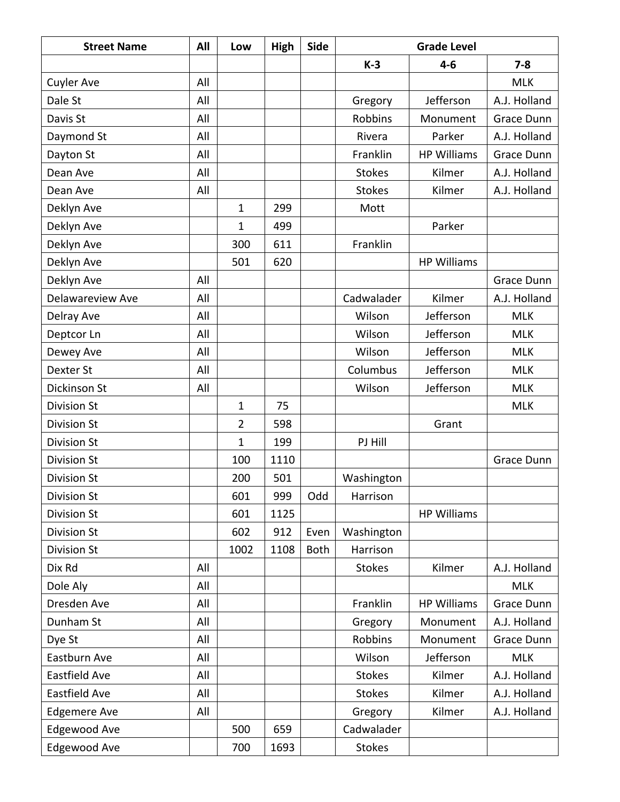| <b>Street Name</b>  | All | Low            | <b>High</b> | <b>Side</b> |               | <b>Grade Level</b> |                   |
|---------------------|-----|----------------|-------------|-------------|---------------|--------------------|-------------------|
|                     |     |                |             |             | $K-3$         | $4-6$              | $7 - 8$           |
| <b>Cuyler Ave</b>   | All |                |             |             |               |                    | <b>MLK</b>        |
| Dale St             | All |                |             |             | Gregory       | Jefferson          | A.J. Holland      |
| Davis St            | All |                |             |             | Robbins       | Monument           | Grace Dunn        |
| Daymond St          | All |                |             |             | Rivera        | Parker             | A.J. Holland      |
| Dayton St           | All |                |             |             | Franklin      | <b>HP Williams</b> | Grace Dunn        |
| Dean Ave            | All |                |             |             | <b>Stokes</b> | Kilmer             | A.J. Holland      |
| Dean Ave            | All |                |             |             | <b>Stokes</b> | Kilmer             | A.J. Holland      |
| Deklyn Ave          |     | $\mathbf{1}$   | 299         |             | Mott          |                    |                   |
| Deklyn Ave          |     | $\mathbf{1}$   | 499         |             |               | Parker             |                   |
| Deklyn Ave          |     | 300            | 611         |             | Franklin      |                    |                   |
| Deklyn Ave          |     | 501            | 620         |             |               | <b>HP Williams</b> |                   |
| Deklyn Ave          | All |                |             |             |               |                    | <b>Grace Dunn</b> |
| Delawareview Ave    | All |                |             |             | Cadwalader    | Kilmer             | A.J. Holland      |
| Delray Ave          | All |                |             |             | Wilson        | Jefferson          | <b>MLK</b>        |
| Deptcor Ln          | All |                |             |             | Wilson        | Jefferson          | <b>MLK</b>        |
| Dewey Ave           | All |                |             |             | Wilson        | Jefferson          | <b>MLK</b>        |
| Dexter St           | All |                |             |             | Columbus      | Jefferson          | <b>MLK</b>        |
| Dickinson St        | All |                |             |             | Wilson        | Jefferson          | <b>MLK</b>        |
| <b>Division St</b>  |     | $\mathbf{1}$   | 75          |             |               |                    | <b>MLK</b>        |
| <b>Division St</b>  |     | $\overline{2}$ | 598         |             |               | Grant              |                   |
| <b>Division St</b>  |     | $\mathbf{1}$   | 199         |             | PJ Hill       |                    |                   |
| <b>Division St</b>  |     | 100            | 1110        |             |               |                    | Grace Dunn        |
| <b>Division St</b>  |     | 200            | 501         |             | Washington    |                    |                   |
| <b>Division St</b>  |     | 601            | 999         | Odd         | Harrison      |                    |                   |
| <b>Division St</b>  |     | 601            | 1125        |             |               | <b>HP Williams</b> |                   |
| <b>Division St</b>  |     | 602            | 912         | Even        | Washington    |                    |                   |
| <b>Division St</b>  |     | 1002           | 1108        | <b>Both</b> | Harrison      |                    |                   |
| Dix Rd              | All |                |             |             | <b>Stokes</b> | Kilmer             | A.J. Holland      |
| Dole Aly            | All |                |             |             |               |                    | <b>MLK</b>        |
| Dresden Ave         | All |                |             |             | Franklin      | <b>HP Williams</b> | Grace Dunn        |
| Dunham St           | All |                |             |             | Gregory       | Monument           | A.J. Holland      |
| Dye St              | All |                |             |             | Robbins       | Monument           | Grace Dunn        |
| Eastburn Ave        | All |                |             |             | Wilson        | Jefferson          | <b>MLK</b>        |
| Eastfield Ave       | All |                |             |             | <b>Stokes</b> | Kilmer             | A.J. Holland      |
| Eastfield Ave       | All |                |             |             | <b>Stokes</b> | Kilmer             | A.J. Holland      |
| <b>Edgemere Ave</b> | All |                |             |             | Gregory       | Kilmer             | A.J. Holland      |
| Edgewood Ave        |     | 500            | 659         |             | Cadwalader    |                    |                   |
| Edgewood Ave        |     | 700            | 1693        |             | <b>Stokes</b> |                    |                   |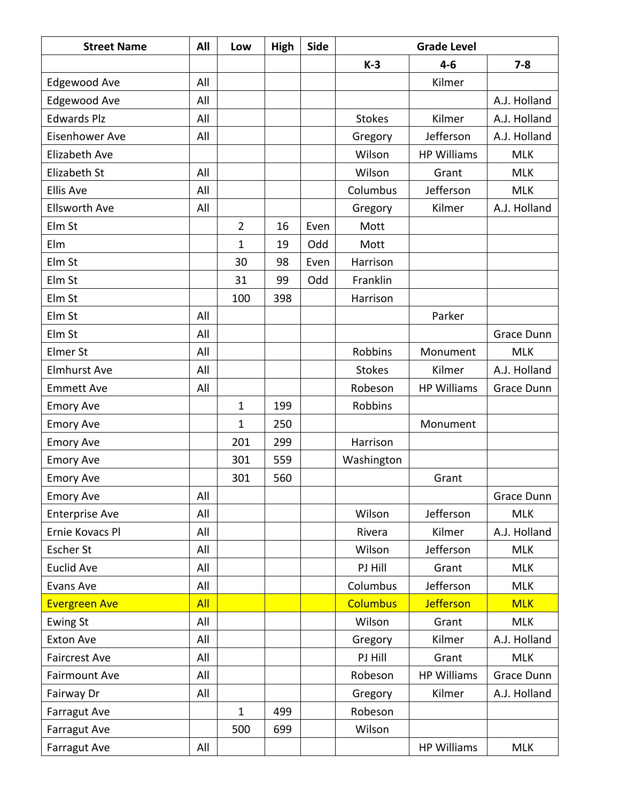| <b>Street Name</b>    | All        | Low            | <b>High</b> | <b>Side</b> |                 | <b>Grade Level</b> |                   |
|-----------------------|------------|----------------|-------------|-------------|-----------------|--------------------|-------------------|
|                       |            |                |             |             | $K-3$           | $4 - 6$            | $7 - 8$           |
| Edgewood Ave          | All        |                |             |             |                 | Kilmer             |                   |
| <b>Edgewood Ave</b>   | All        |                |             |             |                 |                    | A.J. Holland      |
| <b>Edwards Plz</b>    | All        |                |             |             | <b>Stokes</b>   | Kilmer             | A.J. Holland      |
| Eisenhower Ave        | All        |                |             |             | Gregory         | Jefferson          | A.J. Holland      |
| <b>Elizabeth Ave</b>  |            |                |             |             | Wilson          | <b>HP Williams</b> | <b>MLK</b>        |
| Elizabeth St          | All        |                |             |             | Wilson          | Grant              | <b>MLK</b>        |
| <b>Ellis Ave</b>      | All        |                |             |             | Columbus        | Jefferson          | <b>MLK</b>        |
| <b>Ellsworth Ave</b>  | All        |                |             |             | Gregory         | Kilmer             | A.J. Holland      |
| Elm St                |            | $\overline{2}$ | 16          | Even        | Mott            |                    |                   |
| Elm                   |            | $\mathbf 1$    | 19          | Odd         | Mott            |                    |                   |
| Elm St                |            | 30             | 98          | Even        | Harrison        |                    |                   |
| Elm St                |            | 31             | 99          | Odd         | Franklin        |                    |                   |
| Elm St                |            | 100            | 398         |             | Harrison        |                    |                   |
| Elm St                | All        |                |             |             |                 | Parker             |                   |
| Elm St                | All        |                |             |             |                 |                    | Grace Dunn        |
| Elmer St              | All        |                |             |             | Robbins         | Monument           | <b>MLK</b>        |
| <b>Elmhurst Ave</b>   | All        |                |             |             | <b>Stokes</b>   | Kilmer             | A.J. Holland      |
| <b>Emmett Ave</b>     | All        |                |             |             | Robeson         | <b>HP Williams</b> | <b>Grace Dunn</b> |
| <b>Emory Ave</b>      |            | $\mathbf{1}$   | 199         |             | Robbins         |                    |                   |
| <b>Emory Ave</b>      |            | 1              | 250         |             |                 | Monument           |                   |
| <b>Emory Ave</b>      |            | 201            | 299         |             | Harrison        |                    |                   |
| <b>Emory Ave</b>      |            | 301            | 559         |             | Washington      |                    |                   |
| <b>Emory Ave</b>      |            | 301            | 560         |             |                 | Grant              |                   |
| <b>Emory Ave</b>      | All        |                |             |             |                 |                    | Grace Dunn        |
| <b>Enterprise Ave</b> | All        |                |             |             | Wilson          | Jefferson          | <b>MLK</b>        |
| Ernie Kovacs Pl       | All        |                |             |             | Rivera          | Kilmer             | A.J. Holland      |
| <b>Escher St</b>      | All        |                |             |             | Wilson          | Jefferson          | <b>MLK</b>        |
| Euclid Ave            | All        |                |             |             | PJ Hill         | Grant              | <b>MLK</b>        |
| Evans Ave             | All        |                |             |             | Columbus        | Jefferson          | <b>MLK</b>        |
| <b>Evergreen Ave</b>  | <b>All</b> |                |             |             | <b>Columbus</b> | <b>Jefferson</b>   | <b>MLK</b>        |
| <b>Ewing St</b>       | All        |                |             |             | Wilson          | Grant              | <b>MLK</b>        |
| <b>Exton Ave</b>      | All        |                |             |             | Gregory         | Kilmer             | A.J. Holland      |
| <b>Faircrest Ave</b>  | All        |                |             |             | PJ Hill         | Grant              | <b>MLK</b>        |
| <b>Fairmount Ave</b>  | All        |                |             |             | Robeson         | <b>HP Williams</b> | Grace Dunn        |
| Fairway Dr            | All        |                |             |             | Gregory         | Kilmer             | A.J. Holland      |
| Farragut Ave          |            | $\mathbf{1}$   | 499         |             | Robeson         |                    |                   |
| <b>Farragut Ave</b>   |            | 500            | 699         |             | Wilson          |                    |                   |
| Farragut Ave          | All        |                |             |             |                 | <b>HP Williams</b> | <b>MLK</b>        |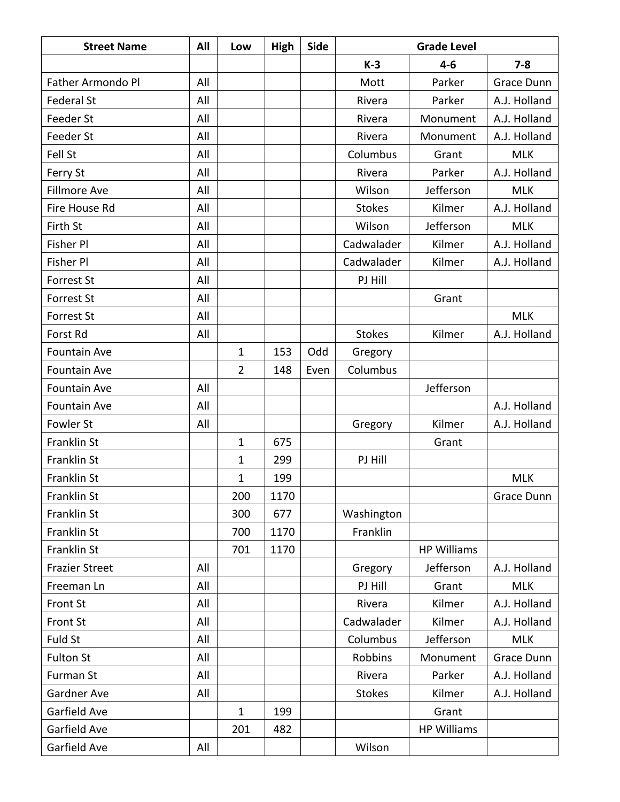| <b>Street Name</b>    | All | Low            | <b>High</b> | Side |               | <b>Grade Level</b> |              |
|-----------------------|-----|----------------|-------------|------|---------------|--------------------|--------------|
|                       |     |                |             |      | $K-3$         | $4 - 6$            | $7 - 8$      |
| Father Armondo Pl     | All |                |             |      | Mott          | Parker             | Grace Dunn   |
| <b>Federal St</b>     | All |                |             |      | Rivera        | Parker             | A.J. Holland |
| Feeder St             | All |                |             |      | Rivera        | Monument           | A.J. Holland |
| Feeder St             | All |                |             |      | Rivera        | Monument           | A.J. Holland |
| Fell St               | All |                |             |      | Columbus      | Grant              | <b>MLK</b>   |
| Ferry St              | All |                |             |      | Rivera        | Parker             | A.J. Holland |
| <b>Fillmore Ave</b>   | All |                |             |      | Wilson        | Jefferson          | <b>MLK</b>   |
| Fire House Rd         | All |                |             |      | <b>Stokes</b> | Kilmer             | A.J. Holland |
| Firth St              | All |                |             |      | Wilson        | Jefferson          | <b>MLK</b>   |
| <b>Fisher Pl</b>      | All |                |             |      | Cadwalader    | Kilmer             | A.J. Holland |
| <b>Fisher Pl</b>      | All |                |             |      | Cadwalader    | Kilmer             | A.J. Holland |
| Forrest St            | All |                |             |      | PJ Hill       |                    |              |
| <b>Forrest St</b>     | All |                |             |      |               | Grant              |              |
| Forrest St            | All |                |             |      |               |                    | <b>MLK</b>   |
| Forst Rd              | All |                |             |      | <b>Stokes</b> | Kilmer             | A.J. Holland |
| <b>Fountain Ave</b>   |     | $\mathbf{1}$   | 153         | Odd  | Gregory       |                    |              |
| <b>Fountain Ave</b>   |     | $\overline{2}$ | 148         | Even | Columbus      |                    |              |
| <b>Fountain Ave</b>   | All |                |             |      |               | Jefferson          |              |
| <b>Fountain Ave</b>   | All |                |             |      |               |                    | A.J. Holland |
| <b>Fowler St</b>      | All |                |             |      | Gregory       | Kilmer             | A.J. Holland |
| Franklin St           |     | $\mathbf{1}$   | 675         |      |               | Grant              |              |
| Franklin St           |     | $\mathbf{1}$   | 299         |      | PJ Hill       |                    |              |
| Franklin St           |     | 1              | 199         |      |               |                    | <b>MLK</b>   |
| Franklin St           |     | 200            | 1170        |      |               |                    | Grace Dunn   |
| Franklin St           |     | 300            | 677         |      | Washington    |                    |              |
| Franklin St           |     | 700            | 1170        |      | Franklin      |                    |              |
| Franklin St           |     | 701            | 1170        |      |               | <b>HP Williams</b> |              |
| <b>Frazier Street</b> | All |                |             |      | Gregory       | Jefferson          | A.J. Holland |
| Freeman Ln            | All |                |             |      | PJ Hill       | Grant              | <b>MLK</b>   |
| Front St              | All |                |             |      | Rivera        | Kilmer             | A.J. Holland |
| <b>Front St</b>       | All |                |             |      | Cadwalader    | Kilmer             | A.J. Holland |
| Fuld St               | All |                |             |      | Columbus      | Jefferson          | <b>MLK</b>   |
| <b>Fulton St</b>      | All |                |             |      | Robbins       | Monument           | Grace Dunn   |
| Furman St             | All |                |             |      | Rivera        | Parker             | A.J. Holland |
| Gardner Ave           | All |                |             |      | <b>Stokes</b> | Kilmer             | A.J. Holland |
| Garfield Ave          |     | $\mathbf{1}$   | 199         |      |               | Grant              |              |
| Garfield Ave          |     | 201            | 482         |      |               | <b>HP Williams</b> |              |
| Garfield Ave          | All |                |             |      | Wilson        |                    |              |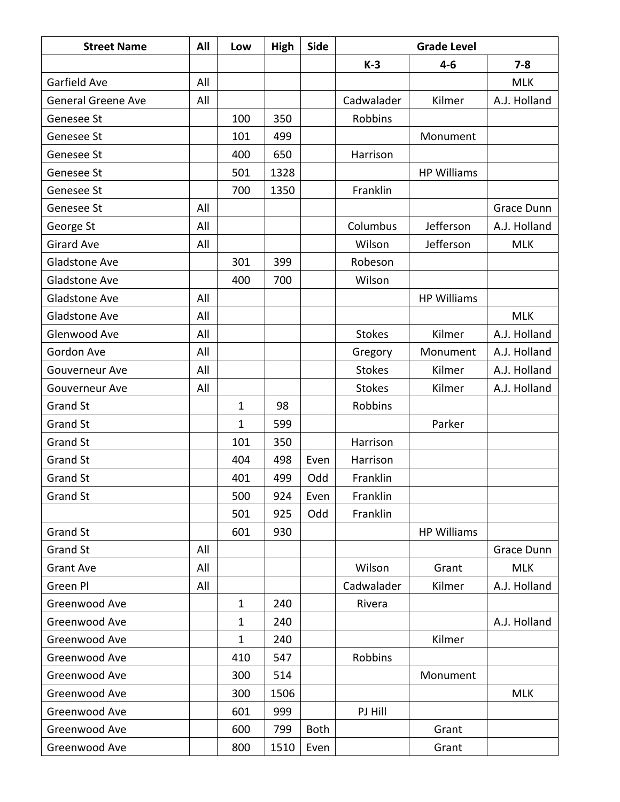| <b>Street Name</b>        | All | Low          | High | <b>Side</b> | <b>Grade Level</b> |                    |              |
|---------------------------|-----|--------------|------|-------------|--------------------|--------------------|--------------|
|                           |     |              |      |             | $K-3$              | $4 - 6$            | $7 - 8$      |
| Garfield Ave              | All |              |      |             |                    |                    | <b>MLK</b>   |
| <b>General Greene Ave</b> | All |              |      |             | Cadwalader         | Kilmer             | A.J. Holland |
| Genesee St                |     | 100          | 350  |             | Robbins            |                    |              |
| Genesee St                |     | 101          | 499  |             |                    | Monument           |              |
| Genesee St                |     | 400          | 650  |             | Harrison           |                    |              |
| Genesee St                |     | 501          | 1328 |             |                    | <b>HP Williams</b> |              |
| Genesee St                |     | 700          | 1350 |             | Franklin           |                    |              |
| Genesee St                | All |              |      |             |                    |                    | Grace Dunn   |
| George St                 | All |              |      |             | Columbus           | Jefferson          | A.J. Holland |
| <b>Girard Ave</b>         | All |              |      |             | Wilson             | Jefferson          | <b>MLK</b>   |
| <b>Gladstone Ave</b>      |     | 301          | 399  |             | Robeson            |                    |              |
| <b>Gladstone Ave</b>      |     | 400          | 700  |             | Wilson             |                    |              |
| <b>Gladstone Ave</b>      | All |              |      |             |                    | <b>HP Williams</b> |              |
| <b>Gladstone Ave</b>      | All |              |      |             |                    |                    | <b>MLK</b>   |
| Glenwood Ave              | All |              |      |             | <b>Stokes</b>      | Kilmer             | A.J. Holland |
| Gordon Ave                | All |              |      |             | Gregory            | Monument           | A.J. Holland |
| Gouverneur Ave            | All |              |      |             | <b>Stokes</b>      | Kilmer             | A.J. Holland |
| Gouverneur Ave            | All |              |      |             | <b>Stokes</b>      | Kilmer             | A.J. Holland |
| <b>Grand St</b>           |     | $\mathbf{1}$ | 98   |             | Robbins            |                    |              |
| <b>Grand St</b>           |     | 1            | 599  |             |                    | Parker             |              |
| <b>Grand St</b>           |     | 101          | 350  |             | Harrison           |                    |              |
| <b>Grand St</b>           |     | 404          | 498  | Even        | Harrison           |                    |              |
| <b>Grand St</b>           |     | 401          | 499  | Odd         | Franklin           |                    |              |
| <b>Grand St</b>           |     | 500          | 924  | Even        | Franklin           |                    |              |
|                           |     | 501          | 925  | Odd         | Franklin           |                    |              |
| <b>Grand St</b>           |     | 601          | 930  |             |                    | <b>HP Williams</b> |              |
| <b>Grand St</b>           | All |              |      |             |                    |                    | Grace Dunn   |
| <b>Grant Ave</b>          | All |              |      |             | Wilson             | Grant              | <b>MLK</b>   |
| Green Pl                  | All |              |      |             | Cadwalader         | Kilmer             | A.J. Holland |
| Greenwood Ave             |     | $\mathbf{1}$ | 240  |             | Rivera             |                    |              |
| Greenwood Ave             |     | $\mathbf{1}$ | 240  |             |                    |                    | A.J. Holland |
| Greenwood Ave             |     | $\mathbf{1}$ | 240  |             |                    | Kilmer             |              |
| Greenwood Ave             |     | 410          | 547  |             | Robbins            |                    |              |
| Greenwood Ave             |     | 300          | 514  |             |                    | Monument           |              |
| Greenwood Ave             |     | 300          | 1506 |             |                    |                    | <b>MLK</b>   |
| Greenwood Ave             |     | 601          | 999  |             | PJ Hill            |                    |              |
| Greenwood Ave             |     | 600          | 799  | <b>Both</b> |                    | Grant              |              |
| Greenwood Ave             |     | 800          | 1510 | Even        |                    | Grant              |              |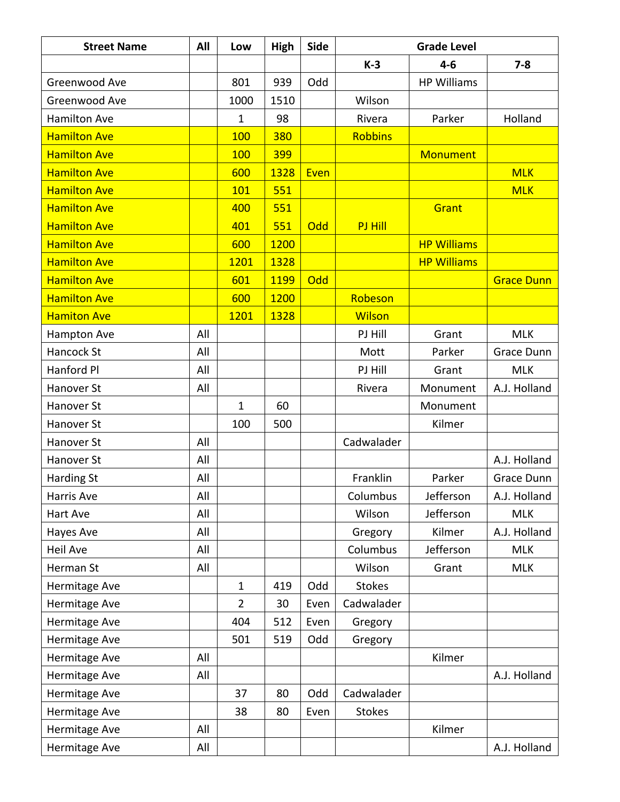| <b>Street Name</b>  | All | Low            | <b>High</b> | Side |                | <b>Grade Level</b> |                   |  |  |
|---------------------|-----|----------------|-------------|------|----------------|--------------------|-------------------|--|--|
|                     |     |                |             |      | $K-3$          | $4 - 6$            | $7 - 8$           |  |  |
| Greenwood Ave       |     | 801            | 939         | Odd  |                | <b>HP Williams</b> |                   |  |  |
| Greenwood Ave       |     | 1000           | 1510        |      | Wilson         |                    |                   |  |  |
| <b>Hamilton Ave</b> |     | $\mathbf{1}$   | 98          |      | Rivera         | Parker             | Holland           |  |  |
| <b>Hamilton Ave</b> |     | 100            | 380         |      | <b>Robbins</b> |                    |                   |  |  |
| <b>Hamilton Ave</b> |     | 100            | <b>399</b>  |      |                | <b>Monument</b>    |                   |  |  |
| <b>Hamilton Ave</b> |     | 600            | 1328        | Even |                |                    | <b>MLK</b>        |  |  |
| <b>Hamilton Ave</b> |     | 101            | 551         |      |                |                    | <b>MLK</b>        |  |  |
| <b>Hamilton Ave</b> |     | 400            | 551         |      |                | Grant              |                   |  |  |
| <b>Hamilton Ave</b> |     | 401            | 551         | Odd  | PJ Hill        |                    |                   |  |  |
| <b>Hamilton Ave</b> |     | 600            | 1200        |      |                | <b>HP Williams</b> |                   |  |  |
| <b>Hamilton Ave</b> |     | 1201           | 1328        |      |                | <b>HP Williams</b> |                   |  |  |
| <b>Hamilton Ave</b> |     | 601            | <b>1199</b> | Odd  |                |                    | <b>Grace Dunn</b> |  |  |
| <b>Hamilton Ave</b> |     | 600            | 1200        |      | Robeson        |                    |                   |  |  |
| <b>Hamiton Ave</b>  |     | 1201           | 1328        |      | <b>Wilson</b>  |                    |                   |  |  |
| Hampton Ave         | All |                |             |      | PJ Hill        | Grant              | <b>MLK</b>        |  |  |
| Hancock St          | All |                |             |      | Mott           | Parker             | <b>Grace Dunn</b> |  |  |
| Hanford Pl          | All |                |             |      | PJ Hill        | Grant              | <b>MLK</b>        |  |  |
| Hanover St          | All |                |             |      | Rivera         | Monument           | A.J. Holland      |  |  |
| Hanover St          |     | $\mathbf{1}$   | 60          |      |                | Monument           |                   |  |  |
| Hanover St          |     | 100            | 500         |      |                | Kilmer             |                   |  |  |
| Hanover St          | All |                |             |      | Cadwalader     |                    |                   |  |  |
| Hanover St          | All |                |             |      |                |                    | A.J. Holland      |  |  |
| Harding St          | All |                |             |      | Franklin       | Parker             | <b>Grace Dunn</b> |  |  |
| Harris Ave          | All |                |             |      | Columbus       | Jefferson          | A.J. Holland      |  |  |
| Hart Ave            | All |                |             |      | Wilson         | Jefferson          | <b>MLK</b>        |  |  |
| Hayes Ave           | All |                |             |      | Gregory        | Kilmer             | A.J. Holland      |  |  |
| <b>Heil Ave</b>     | All |                |             |      | Columbus       | Jefferson          | <b>MLK</b>        |  |  |
| Herman St           | All |                |             |      | Wilson         | Grant              | <b>MLK</b>        |  |  |
| Hermitage Ave       |     | $\mathbf{1}$   | 419         | Odd  | <b>Stokes</b>  |                    |                   |  |  |
| Hermitage Ave       |     | $\overline{2}$ | 30          | Even | Cadwalader     |                    |                   |  |  |
| Hermitage Ave       |     | 404            | 512         | Even | Gregory        |                    |                   |  |  |
| Hermitage Ave       |     | 501            | 519         | Odd  | Gregory        |                    |                   |  |  |
| Hermitage Ave       | All |                |             |      |                | Kilmer             |                   |  |  |
| Hermitage Ave       | All |                |             |      |                |                    | A.J. Holland      |  |  |
| Hermitage Ave       |     | 37             | 80          | Odd  | Cadwalader     |                    |                   |  |  |
| Hermitage Ave       |     | 38             | 80          | Even | <b>Stokes</b>  |                    |                   |  |  |
| Hermitage Ave       | All |                |             |      |                | Kilmer             |                   |  |  |
| Hermitage Ave       | All |                |             |      |                |                    | A.J. Holland      |  |  |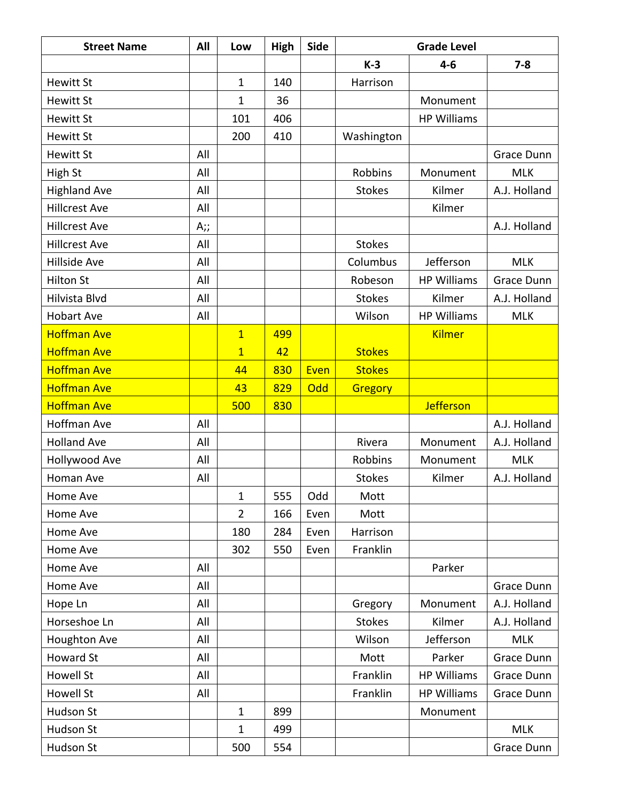| <b>Street Name</b>   | All | Low            | <b>High</b> | <b>Side</b> | <b>Grade Level</b> |                    |                   |  |
|----------------------|-----|----------------|-------------|-------------|--------------------|--------------------|-------------------|--|
|                      |     |                |             |             | $K-3$              | $4 - 6$            | $7 - 8$           |  |
| <b>Hewitt St</b>     |     | $\mathbf{1}$   | 140         |             | Harrison           |                    |                   |  |
| <b>Hewitt St</b>     |     | 1              | 36          |             |                    | Monument           |                   |  |
| <b>Hewitt St</b>     |     | 101            | 406         |             |                    | <b>HP Williams</b> |                   |  |
| <b>Hewitt St</b>     |     | 200            | 410         |             | Washington         |                    |                   |  |
| <b>Hewitt St</b>     | All |                |             |             |                    |                    | Grace Dunn        |  |
| High St              | All |                |             |             | Robbins            | Monument           | <b>MLK</b>        |  |
| <b>Highland Ave</b>  | All |                |             |             | <b>Stokes</b>      | Kilmer             | A.J. Holland      |  |
| <b>Hillcrest Ave</b> | All |                |             |             |                    | Kilmer             |                   |  |
| <b>Hillcrest Ave</b> | A;; |                |             |             |                    |                    | A.J. Holland      |  |
| <b>Hillcrest Ave</b> | All |                |             |             | <b>Stokes</b>      |                    |                   |  |
| <b>Hillside Ave</b>  | All |                |             |             | Columbus           | Jefferson          | <b>MLK</b>        |  |
| <b>Hilton St</b>     | All |                |             |             | Robeson            | <b>HP Williams</b> | <b>Grace Dunn</b> |  |
| Hilvista Blvd        | All |                |             |             | <b>Stokes</b>      | Kilmer             | A.J. Holland      |  |
| <b>Hobart Ave</b>    | All |                |             |             | Wilson             | <b>HP Williams</b> | <b>MLK</b>        |  |
| <b>Hoffman Ave</b>   |     | $\overline{1}$ | 499         |             |                    | <b>Kilmer</b>      |                   |  |
| <b>Hoffman Ave</b>   |     | $\overline{1}$ | 42          |             | <b>Stokes</b>      |                    |                   |  |
| <b>Hoffman Ave</b>   |     | 44             | 830         | Even        | <b>Stokes</b>      |                    |                   |  |
| <b>Hoffman Ave</b>   |     | 43             | 829         | Odd         | Gregory            |                    |                   |  |
| <b>Hoffman Ave</b>   |     | 500            | 830         |             |                    | <b>Jefferson</b>   |                   |  |
| Hoffman Ave          | All |                |             |             |                    |                    | A.J. Holland      |  |
| <b>Holland Ave</b>   | All |                |             |             | Rivera             | Monument           | A.J. Holland      |  |
| Hollywood Ave        | All |                |             |             | Robbins            | Monument           | <b>MLK</b>        |  |
| Homan Ave            | All |                |             |             | <b>Stokes</b>      | Kilmer             | A.J. Holland      |  |
| Home Ave             |     | $\mathbf 1$    | 555         | Odd         | Mott               |                    |                   |  |
| Home Ave             |     | $\overline{2}$ | 166         | Even        | Mott               |                    |                   |  |
| Home Ave             |     | 180            | 284         | Even        | Harrison           |                    |                   |  |
| Home Ave             |     | 302            | 550         | Even        | Franklin           |                    |                   |  |
| Home Ave             | All |                |             |             |                    | Parker             |                   |  |
| Home Ave             | All |                |             |             |                    |                    | Grace Dunn        |  |
| Hope Ln              | All |                |             |             | Gregory            | Monument           | A.J. Holland      |  |
| Horseshoe Ln         | All |                |             |             | <b>Stokes</b>      | Kilmer             | A.J. Holland      |  |
| Houghton Ave         | All |                |             |             | Wilson             | Jefferson          | <b>MLK</b>        |  |
| <b>Howard St</b>     | All |                |             |             | Mott               | Parker             | Grace Dunn        |  |
| <b>Howell St</b>     | All |                |             |             | Franklin           | <b>HP Williams</b> | Grace Dunn        |  |
| <b>Howell St</b>     | All |                |             |             | Franklin           | <b>HP Williams</b> | Grace Dunn        |  |
| Hudson St            |     | $\mathbf{1}$   | 899         |             |                    | Monument           |                   |  |
| Hudson St            |     | $\mathbf{1}$   | 499         |             |                    |                    | <b>MLK</b>        |  |
| Hudson St            |     | 500            | 554         |             |                    |                    | Grace Dunn        |  |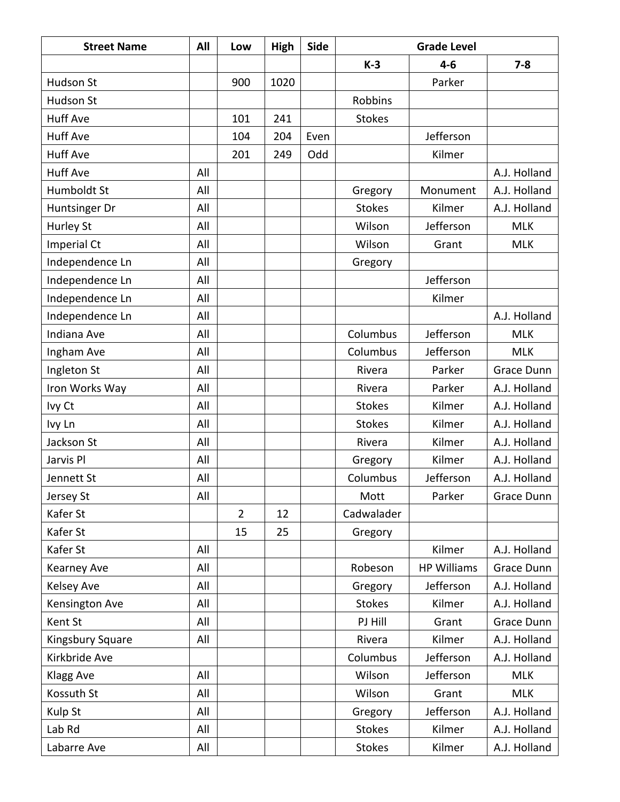| <b>Street Name</b> | All | Low            | <b>High</b> | Side | <b>Grade Level</b> |                    |                   |
|--------------------|-----|----------------|-------------|------|--------------------|--------------------|-------------------|
|                    |     |                |             |      | $K-3$              | $4 - 6$            | $7 - 8$           |
| Hudson St          |     | 900            | 1020        |      |                    | Parker             |                   |
| <b>Hudson St</b>   |     |                |             |      | Robbins            |                    |                   |
| <b>Huff Ave</b>    |     | 101            | 241         |      | <b>Stokes</b>      |                    |                   |
| <b>Huff Ave</b>    |     | 104            | 204         | Even |                    | Jefferson          |                   |
| <b>Huff Ave</b>    |     | 201            | 249         | Odd  |                    | Kilmer             |                   |
| <b>Huff Ave</b>    | All |                |             |      |                    |                    | A.J. Holland      |
| Humboldt St        | All |                |             |      | Gregory            | Monument           | A.J. Holland      |
| Huntsinger Dr      | All |                |             |      | <b>Stokes</b>      | Kilmer             | A.J. Holland      |
| Hurley St          | All |                |             |      | Wilson             | Jefferson          | <b>MLK</b>        |
| Imperial Ct        | All |                |             |      | Wilson             | Grant              | <b>MLK</b>        |
| Independence Ln    | All |                |             |      | Gregory            |                    |                   |
| Independence Ln    | All |                |             |      |                    | Jefferson          |                   |
| Independence Ln    | All |                |             |      |                    | Kilmer             |                   |
| Independence Ln    | All |                |             |      |                    |                    | A.J. Holland      |
| <b>Indiana Ave</b> | All |                |             |      | Columbus           | Jefferson          | <b>MLK</b>        |
| Ingham Ave         | All |                |             |      | Columbus           | Jefferson          | <b>MLK</b>        |
| Ingleton St        | All |                |             |      | Rivera             | Parker             | Grace Dunn        |
| Iron Works Way     | All |                |             |      | Rivera             | Parker             | A.J. Holland      |
| Ivy Ct             | All |                |             |      | <b>Stokes</b>      | Kilmer             | A.J. Holland      |
| Ivy Ln             | All |                |             |      | <b>Stokes</b>      | Kilmer             | A.J. Holland      |
| Jackson St         | All |                |             |      | Rivera             | Kilmer             | A.J. Holland      |
| Jarvis Pl          | All |                |             |      | Gregory            | Kilmer             | A.J. Holland      |
| Jennett St         | All |                |             |      | Columbus           | Jefferson          | A.J. Holland      |
| Jersey St          | All |                |             |      | Mott               | Parker             | <b>Grace Dunn</b> |
| Kafer St           |     | $\overline{2}$ | 12          |      | Cadwalader         |                    |                   |
| Kafer St           |     | 15             | 25          |      | Gregory            |                    |                   |
| Kafer St           | All |                |             |      |                    | Kilmer             | A.J. Holland      |
| Kearney Ave        | All |                |             |      | Robeson            | <b>HP Williams</b> | Grace Dunn        |
| <b>Kelsey Ave</b>  | All |                |             |      | Gregory            | Jefferson          | A.J. Holland      |
| Kensington Ave     | All |                |             |      | <b>Stokes</b>      | Kilmer             | A.J. Holland      |
| Kent St            | All |                |             |      | PJ Hill            | Grant              | Grace Dunn        |
| Kingsbury Square   | All |                |             |      | Rivera             | Kilmer             | A.J. Holland      |
| Kirkbride Ave      |     |                |             |      | Columbus           | Jefferson          | A.J. Holland      |
| Klagg Ave          | All |                |             |      | Wilson             | Jefferson          | <b>MLK</b>        |
| Kossuth St         | All |                |             |      | Wilson             | Grant              | <b>MLK</b>        |
| Kulp St            | All |                |             |      | Gregory            | Jefferson          | A.J. Holland      |
| Lab Rd             | All |                |             |      | <b>Stokes</b>      | Kilmer             | A.J. Holland      |
| Labarre Ave        | All |                |             |      | <b>Stokes</b>      | Kilmer             | A.J. Holland      |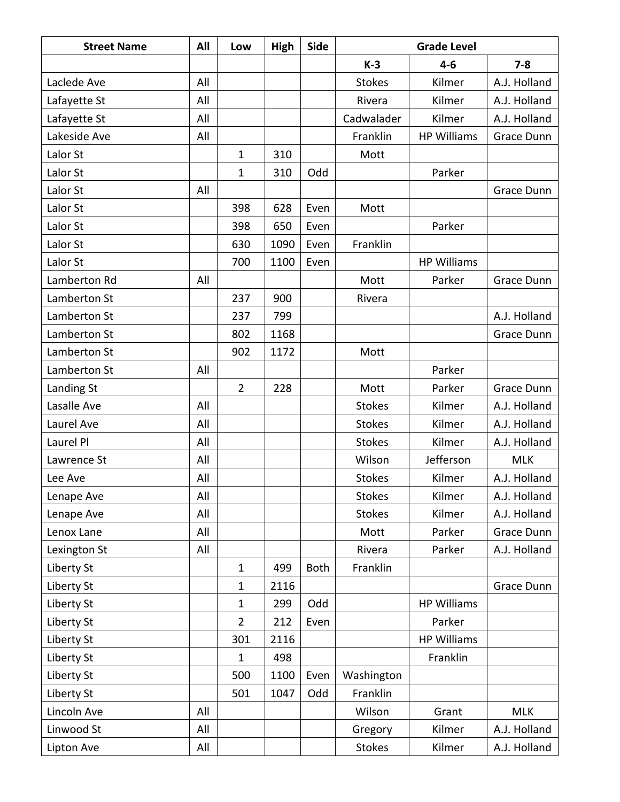| <b>Street Name</b> | All | Low            | High | <b>Side</b> |               | <b>Grade Level</b> |                   |
|--------------------|-----|----------------|------|-------------|---------------|--------------------|-------------------|
|                    |     |                |      |             | $K-3$         | $4 - 6$            | $7 - 8$           |
| Laclede Ave        | All |                |      |             | <b>Stokes</b> | Kilmer             | A.J. Holland      |
| Lafayette St       | All |                |      |             | Rivera        | Kilmer             | A.J. Holland      |
| Lafayette St       | All |                |      |             | Cadwalader    | Kilmer             | A.J. Holland      |
| Lakeside Ave       | All |                |      |             | Franklin      | <b>HP Williams</b> | <b>Grace Dunn</b> |
| Lalor St           |     | $\mathbf{1}$   | 310  |             | Mott          |                    |                   |
| Lalor St           |     | $\mathbf{1}$   | 310  | Odd         |               | Parker             |                   |
| Lalor St           | All |                |      |             |               |                    | Grace Dunn        |
| Lalor St           |     | 398            | 628  | Even        | Mott          |                    |                   |
| Lalor St           |     | 398            | 650  | Even        |               | Parker             |                   |
| Lalor St           |     | 630            | 1090 | Even        | Franklin      |                    |                   |
| Lalor St           |     | 700            | 1100 | Even        |               | <b>HP Williams</b> |                   |
| Lamberton Rd       | All |                |      |             | Mott          | Parker             | <b>Grace Dunn</b> |
| Lamberton St       |     | 237            | 900  |             | Rivera        |                    |                   |
| Lamberton St       |     | 237            | 799  |             |               |                    | A.J. Holland      |
| Lamberton St       |     | 802            | 1168 |             |               |                    | Grace Dunn        |
| Lamberton St       |     | 902            | 1172 |             | Mott          |                    |                   |
| Lamberton St       | All |                |      |             |               | Parker             |                   |
| Landing St         |     | $\overline{2}$ | 228  |             | Mott          | Parker             | <b>Grace Dunn</b> |
| Lasalle Ave        | All |                |      |             | <b>Stokes</b> | Kilmer             | A.J. Holland      |
| Laurel Ave         | All |                |      |             | <b>Stokes</b> | Kilmer             | A.J. Holland      |
| Laurel Pl          | All |                |      |             | <b>Stokes</b> | Kilmer             | A.J. Holland      |
| Lawrence St        | All |                |      |             | Wilson        | Jefferson          | <b>MLK</b>        |
| Lee Ave            | All |                |      |             | <b>Stokes</b> | Kilmer             | A.J. Holland      |
| Lenape Ave         | All |                |      |             | <b>Stokes</b> | Kilmer             | A.J. Holland      |
| Lenape Ave         | All |                |      |             | <b>Stokes</b> | Kilmer             | A.J. Holland      |
| Lenox Lane         | All |                |      |             | Mott          | Parker             | Grace Dunn        |
| Lexington St       | All |                |      |             | Rivera        | Parker             | A.J. Holland      |
| Liberty St         |     | $\mathbf{1}$   | 499  | <b>Both</b> | Franklin      |                    |                   |
| Liberty St         |     | $\mathbf{1}$   | 2116 |             |               |                    | Grace Dunn        |
| Liberty St         |     | $\mathbf{1}$   | 299  | Odd         |               | <b>HP Williams</b> |                   |
| Liberty St         |     | $\overline{2}$ | 212  | Even        |               | Parker             |                   |
| Liberty St         |     | 301            | 2116 |             |               | <b>HP Williams</b> |                   |
| Liberty St         |     | $\mathbf{1}$   | 498  |             |               | Franklin           |                   |
| Liberty St         |     | 500            | 1100 | Even        | Washington    |                    |                   |
| Liberty St         |     | 501            | 1047 | Odd         | Franklin      |                    |                   |
| Lincoln Ave        | All |                |      |             | Wilson        | Grant              | <b>MLK</b>        |
| Linwood St         | All |                |      |             | Gregory       | Kilmer             | A.J. Holland      |
| Lipton Ave         | All |                |      |             | <b>Stokes</b> | Kilmer             | A.J. Holland      |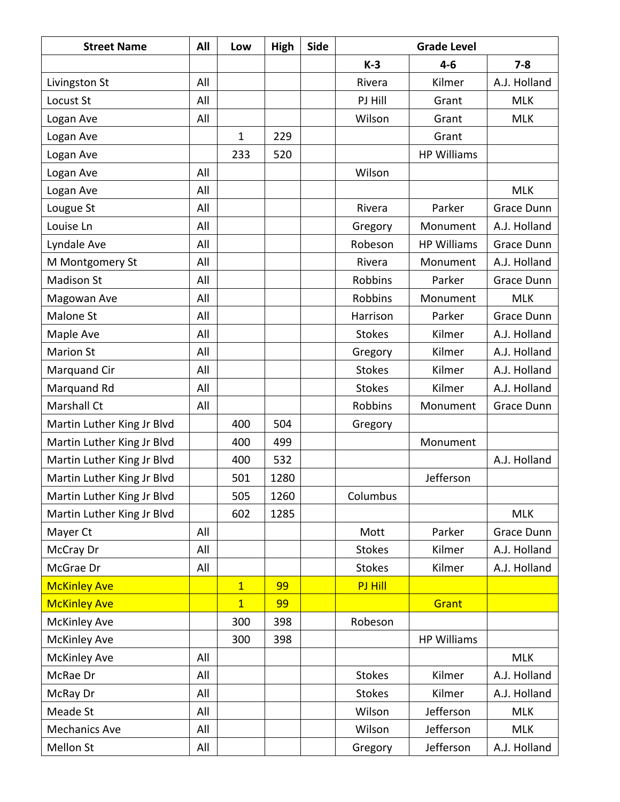| <b>Street Name</b>         | All | Low            | <b>High</b> | Side |               | <b>Grade Level</b> |                   |
|----------------------------|-----|----------------|-------------|------|---------------|--------------------|-------------------|
|                            |     |                |             |      | $K-3$         | $4 - 6$            | $7 - 8$           |
| Livingston St              | All |                |             |      | Rivera        | Kilmer             | A.J. Holland      |
| <b>Locust St</b>           | All |                |             |      | PJ Hill       | Grant              | <b>MLK</b>        |
| Logan Ave                  | All |                |             |      | Wilson        | Grant              | <b>MLK</b>        |
| Logan Ave                  |     | $\mathbf{1}$   | 229         |      |               | Grant              |                   |
| Logan Ave                  |     | 233            | 520         |      |               | <b>HP Williams</b> |                   |
| Logan Ave                  | All |                |             |      | Wilson        |                    |                   |
| Logan Ave                  | All |                |             |      |               |                    | <b>MLK</b>        |
| Lougue St                  | All |                |             |      | Rivera        | Parker             | Grace Dunn        |
| Louise Ln                  | All |                |             |      | Gregory       | Monument           | A.J. Holland      |
| Lyndale Ave                | All |                |             |      | Robeson       | <b>HP Williams</b> | <b>Grace Dunn</b> |
| M Montgomery St            | All |                |             |      | Rivera        | Monument           | A.J. Holland      |
| <b>Madison St</b>          | All |                |             |      | Robbins       | Parker             | Grace Dunn        |
| Magowan Ave                | All |                |             |      | Robbins       | Monument           | <b>MLK</b>        |
| Malone St                  | All |                |             |      | Harrison      | Parker             | <b>Grace Dunn</b> |
| Maple Ave                  | All |                |             |      | <b>Stokes</b> | Kilmer             | A.J. Holland      |
| <b>Marion St</b>           | All |                |             |      | Gregory       | Kilmer             | A.J. Holland      |
| Marquand Cir               | All |                |             |      | <b>Stokes</b> | Kilmer             | A.J. Holland      |
| Marquand Rd                | All |                |             |      | <b>Stokes</b> | Kilmer             | A.J. Holland      |
| Marshall Ct                | All |                |             |      | Robbins       | Monument           | <b>Grace Dunn</b> |
| Martin Luther King Jr Blvd |     | 400            | 504         |      | Gregory       |                    |                   |
| Martin Luther King Jr Blvd |     | 400            | 499         |      |               | Monument           |                   |
| Martin Luther King Jr Blvd |     | 400            | 532         |      |               |                    | A.J. Holland      |
| Martin Luther King Jr Blvd |     | 501            | 1280        |      |               | Jefferson          |                   |
| Martin Luther King Jr Blvd |     | 505            | 1260        |      | Columbus      |                    |                   |
| Martin Luther King Jr Blvd |     | 602            | 1285        |      |               |                    | <b>MLK</b>        |
| Mayer Ct                   | All |                |             |      | Mott          | Parker             | <b>Grace Dunn</b> |
| McCray Dr                  | All |                |             |      | <b>Stokes</b> | Kilmer             | A.J. Holland      |
| McGrae Dr                  | All |                |             |      | <b>Stokes</b> | Kilmer             | A.J. Holland      |
| <b>McKinley Ave</b>        |     | $\overline{1}$ | 99          |      | PJ Hill       |                    |                   |
| <b>McKinley Ave</b>        |     | $\overline{1}$ | 99          |      |               | Grant              |                   |
| <b>McKinley Ave</b>        |     | 300            | 398         |      | Robeson       |                    |                   |
| <b>McKinley Ave</b>        |     | 300            | 398         |      |               | <b>HP Williams</b> |                   |
| <b>McKinley Ave</b>        | All |                |             |      |               |                    | <b>MLK</b>        |
| McRae Dr                   | All |                |             |      | <b>Stokes</b> | Kilmer             | A.J. Holland      |
| McRay Dr                   | All |                |             |      | <b>Stokes</b> | Kilmer             | A.J. Holland      |
| Meade St                   | All |                |             |      | Wilson        | Jefferson          | <b>MLK</b>        |
| <b>Mechanics Ave</b>       | All |                |             |      | Wilson        | Jefferson          | <b>MLK</b>        |
| Mellon St                  | All |                |             |      | Gregory       | Jefferson          | A.J. Holland      |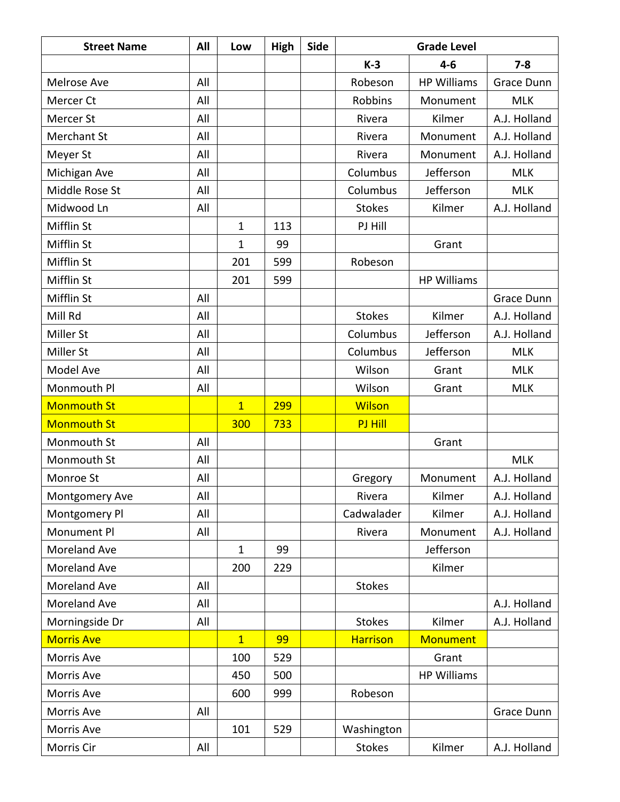| <b>Street Name</b> | All | Low            | <b>High</b> | <b>Side</b> | <b>Grade Level</b> |                    |              |  |
|--------------------|-----|----------------|-------------|-------------|--------------------|--------------------|--------------|--|
|                    |     |                |             |             | $K-3$              | $4 - 6$            | $7 - 8$      |  |
| Melrose Ave        | All |                |             |             | Robeson            | <b>HP Williams</b> | Grace Dunn   |  |
| Mercer Ct          | All |                |             |             | Robbins            | Monument           | <b>MLK</b>   |  |
| Mercer St          | All |                |             |             | Rivera             | Kilmer             | A.J. Holland |  |
| Merchant St        | All |                |             |             | Rivera             | Monument           | A.J. Holland |  |
| Meyer St           | All |                |             |             | Rivera             | Monument           | A.J. Holland |  |
| Michigan Ave       | All |                |             |             | Columbus           | Jefferson          | <b>MLK</b>   |  |
| Middle Rose St     | All |                |             |             | Columbus           | Jefferson          | <b>MLK</b>   |  |
| Midwood Ln         | All |                |             |             | <b>Stokes</b>      | Kilmer             | A.J. Holland |  |
| Mifflin St         |     | $\mathbf{1}$   | 113         |             | PJ Hill            |                    |              |  |
| Mifflin St         |     | $\mathbf 1$    | 99          |             |                    | Grant              |              |  |
| Mifflin St         |     | 201            | 599         |             | Robeson            |                    |              |  |
| Mifflin St         |     | 201            | 599         |             |                    | <b>HP Williams</b> |              |  |
| Mifflin St         | All |                |             |             |                    |                    | Grace Dunn   |  |
| Mill Rd            | All |                |             |             | <b>Stokes</b>      | Kilmer             | A.J. Holland |  |
| Miller St          | All |                |             |             | Columbus           | Jefferson          | A.J. Holland |  |
| Miller St          | All |                |             |             | Columbus           | Jefferson          | <b>MLK</b>   |  |
| Model Ave          | All |                |             |             | Wilson             | Grant              | <b>MLK</b>   |  |
| Monmouth Pl        | All |                |             |             | Wilson             | Grant              | <b>MLK</b>   |  |
| <b>Monmouth St</b> |     | $\overline{1}$ | 299         |             | <b>Wilson</b>      |                    |              |  |
| <b>Monmouth St</b> |     | 300            | 733         |             | PJ Hill            |                    |              |  |
| Monmouth St        | All |                |             |             |                    | Grant              |              |  |
| Monmouth St        | All |                |             |             |                    |                    | <b>MLK</b>   |  |
| Monroe St          | All |                |             |             | Gregory            | Monument           | A.J. Holland |  |
| Montgomery Ave     | All |                |             |             | Rivera             | Kilmer             | A.J. Holland |  |
| Montgomery Pl      | All |                |             |             | Cadwalader         | Kilmer             | A.J. Holland |  |
| Monument Pl        | All |                |             |             | Rivera             | Monument           | A.J. Holland |  |
| Moreland Ave       |     | $\mathbf{1}$   | 99          |             |                    | Jefferson          |              |  |
| Moreland Ave       |     | 200            | 229         |             |                    | Kilmer             |              |  |
| Moreland Ave       | All |                |             |             | <b>Stokes</b>      |                    |              |  |
| Moreland Ave       | All |                |             |             |                    |                    | A.J. Holland |  |
| Morningside Dr     | All |                |             |             | <b>Stokes</b>      | Kilmer             | A.J. Holland |  |
| <b>Morris Ave</b>  |     | $\overline{1}$ | 99          |             | <b>Harrison</b>    | <b>Monument</b>    |              |  |
| Morris Ave         |     | 100            | 529         |             |                    | Grant              |              |  |
| Morris Ave         |     | 450            | 500         |             |                    | <b>HP Williams</b> |              |  |
| Morris Ave         |     | 600            | 999         |             | Robeson            |                    |              |  |
| Morris Ave         | All |                |             |             |                    |                    | Grace Dunn   |  |
| Morris Ave         |     | 101            | 529         |             | Washington         |                    |              |  |
| Morris Cir         | All |                |             |             | <b>Stokes</b>      | Kilmer             | A.J. Holland |  |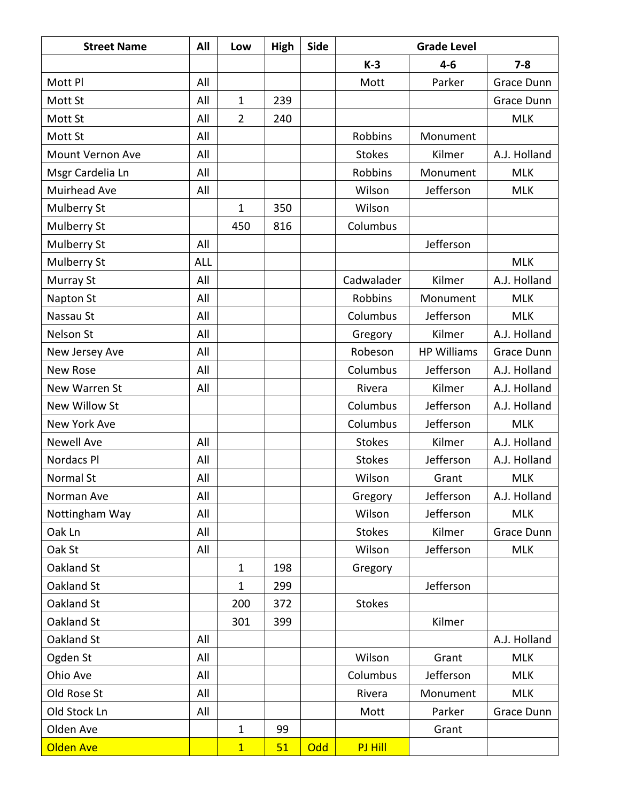| <b>Street Name</b>      | All        | Low            | High | Side | <b>Grade Level</b> |                    |                   |  |
|-------------------------|------------|----------------|------|------|--------------------|--------------------|-------------------|--|
|                         |            |                |      |      | $K-3$              | $4 - 6$            | $7 - 8$           |  |
| Mott Pl                 | All        |                |      |      | Mott               | Parker             | <b>Grace Dunn</b> |  |
| Mott St                 | All        | $\mathbf{1}$   | 239  |      |                    |                    | <b>Grace Dunn</b> |  |
| Mott St                 | All        | $\overline{2}$ | 240  |      |                    |                    | <b>MLK</b>        |  |
| Mott St                 | All        |                |      |      | Robbins            | Monument           |                   |  |
| <b>Mount Vernon Ave</b> | All        |                |      |      | <b>Stokes</b>      | Kilmer             | A.J. Holland      |  |
| Msgr Cardelia Ln        | All        |                |      |      | <b>Robbins</b>     | Monument           | <b>MLK</b>        |  |
| Muirhead Ave            | All        |                |      |      | Wilson             | Jefferson          | <b>MLK</b>        |  |
| Mulberry St             |            | 1              | 350  |      | Wilson             |                    |                   |  |
| Mulberry St             |            | 450            | 816  |      | Columbus           |                    |                   |  |
| Mulberry St             | All        |                |      |      |                    | Jefferson          |                   |  |
| Mulberry St             | <b>ALL</b> |                |      |      |                    |                    | <b>MLK</b>        |  |
| Murray St               | All        |                |      |      | Cadwalader         | Kilmer             | A.J. Holland      |  |
| Napton St               | All        |                |      |      | Robbins            | Monument           | <b>MLK</b>        |  |
| Nassau St               | All        |                |      |      | Columbus           | Jefferson          | <b>MLK</b>        |  |
| <b>Nelson St</b>        | All        |                |      |      | Gregory            | Kilmer             | A.J. Holland      |  |
| New Jersey Ave          | All        |                |      |      | Robeson            | <b>HP Williams</b> | Grace Dunn        |  |
| <b>New Rose</b>         | All        |                |      |      | Columbus           | Jefferson          | A.J. Holland      |  |
| New Warren St           | All        |                |      |      | Rivera             | Kilmer             | A.J. Holland      |  |
| New Willow St           |            |                |      |      | Columbus           | Jefferson          | A.J. Holland      |  |
| <b>New York Ave</b>     |            |                |      |      | Columbus           | Jefferson          | <b>MLK</b>        |  |
| <b>Newell Ave</b>       | All        |                |      |      | <b>Stokes</b>      | Kilmer             | A.J. Holland      |  |
| Nordacs Pl              | All        |                |      |      | <b>Stokes</b>      | Jefferson          | A.J. Holland      |  |
| Normal St               | All        |                |      |      | Wilson             | Grant              | <b>MLK</b>        |  |
| Norman Ave              | All        |                |      |      | Gregory            | Jefferson          | A.J. Holland      |  |
| Nottingham Way          | All        |                |      |      | Wilson             | Jefferson          | <b>MLK</b>        |  |
| Oak Ln                  | All        |                |      |      | <b>Stokes</b>      | Kilmer             | Grace Dunn        |  |
| Oak St                  | All        |                |      |      | Wilson             | Jefferson          | <b>MLK</b>        |  |
| Oakland St              |            | $\mathbf{1}$   | 198  |      | Gregory            |                    |                   |  |
| Oakland St              |            | 1              | 299  |      |                    | Jefferson          |                   |  |
| Oakland St              |            | 200            | 372  |      | <b>Stokes</b>      |                    |                   |  |
| Oakland St              |            | 301            | 399  |      |                    | Kilmer             |                   |  |
| Oakland St              | All        |                |      |      |                    |                    | A.J. Holland      |  |
| Ogden St                | All        |                |      |      | Wilson             | Grant              | <b>MLK</b>        |  |
| Ohio Ave                | All        |                |      |      | Columbus           | Jefferson          | <b>MLK</b>        |  |
| Old Rose St             | All        |                |      |      | Rivera             | Monument           | <b>MLK</b>        |  |
| Old Stock Ln            | All        |                |      |      | Mott               | Parker             | Grace Dunn        |  |
| Olden Ave               |            | $\mathbf{1}$   | 99   |      |                    | Grant              |                   |  |
| Olden Ave               |            | $\overline{1}$ | 51   | Odd  | PJ Hill            |                    |                   |  |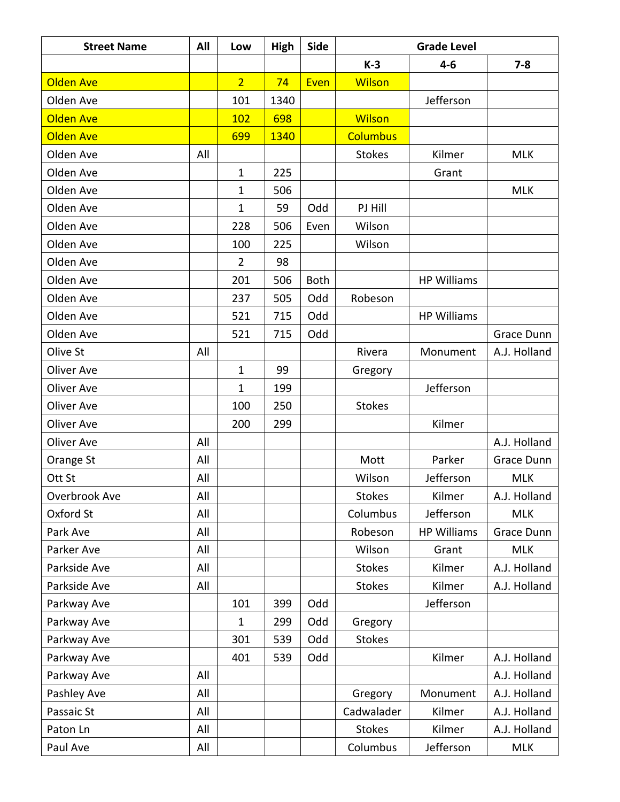| <b>Street Name</b> | All | Low            | <b>High</b> | <b>Side</b> |                 | <b>Grade Level</b> |              |
|--------------------|-----|----------------|-------------|-------------|-----------------|--------------------|--------------|
|                    |     |                |             |             | $K-3$           | $4 - 6$            | $7 - 8$      |
| <b>Olden Ave</b>   |     | $\overline{2}$ | 74          | Even        | <b>Wilson</b>   |                    |              |
| Olden Ave          |     | 101            | 1340        |             |                 | Jefferson          |              |
| <b>Olden Ave</b>   |     | 102            | 698         |             | <b>Wilson</b>   |                    |              |
| <b>Olden Ave</b>   |     | 699            | 1340        |             | <b>Columbus</b> |                    |              |
| Olden Ave          | All |                |             |             | <b>Stokes</b>   | Kilmer             | <b>MLK</b>   |
| Olden Ave          |     | $\mathbf{1}$   | 225         |             |                 | Grant              |              |
| Olden Ave          |     | $\mathbf{1}$   | 506         |             |                 |                    | <b>MLK</b>   |
| Olden Ave          |     | $\mathbf{1}$   | 59          | Odd         | PJ Hill         |                    |              |
| Olden Ave          |     | 228            | 506         | Even        | Wilson          |                    |              |
| Olden Ave          |     | 100            | 225         |             | Wilson          |                    |              |
| Olden Ave          |     | $\overline{2}$ | 98          |             |                 |                    |              |
| Olden Ave          |     | 201            | 506         | <b>Both</b> |                 | <b>HP Williams</b> |              |
| Olden Ave          |     | 237            | 505         | Odd         | Robeson         |                    |              |
| Olden Ave          |     | 521            | 715         | Odd         |                 | <b>HP Williams</b> |              |
| Olden Ave          |     | 521            | 715         | Odd         |                 |                    | Grace Dunn   |
| Olive St           | All |                |             |             | Rivera          | Monument           | A.J. Holland |
| Oliver Ave         |     | $\mathbf{1}$   | 99          |             | Gregory         |                    |              |
| Oliver Ave         |     | $\mathbf{1}$   | 199         |             |                 | Jefferson          |              |
| Oliver Ave         |     | 100            | 250         |             | <b>Stokes</b>   |                    |              |
| Oliver Ave         |     | 200            | 299         |             |                 | Kilmer             |              |
| Oliver Ave         | All |                |             |             |                 |                    | A.J. Holland |
| Orange St          | All |                |             |             | Mott            | Parker             | Grace Dunn   |
| Ott St             | All |                |             |             | Wilson          | Jefferson          | <b>MLK</b>   |
| Overbrook Ave      | All |                |             |             | <b>Stokes</b>   | Kilmer             | A.J. Holland |
| Oxford St          | All |                |             |             | Columbus        | Jefferson          | <b>MLK</b>   |
| Park Ave           | All |                |             |             | Robeson         | <b>HP Williams</b> | Grace Dunn   |
| Parker Ave         | All |                |             |             | Wilson          | Grant              | <b>MLK</b>   |
| Parkside Ave       | All |                |             |             | <b>Stokes</b>   | Kilmer             | A.J. Holland |
| Parkside Ave       | All |                |             |             | <b>Stokes</b>   | Kilmer             | A.J. Holland |
| Parkway Ave        |     | 101            | 399         | Odd         |                 | Jefferson          |              |
| Parkway Ave        |     | $\mathbf{1}$   | 299         | Odd         | Gregory         |                    |              |
| Parkway Ave        |     | 301            | 539         | Odd         | <b>Stokes</b>   |                    |              |
| Parkway Ave        |     | 401            | 539         | Odd         |                 | Kilmer             | A.J. Holland |
| Parkway Ave        | All |                |             |             |                 |                    | A.J. Holland |
| Pashley Ave        | All |                |             |             | Gregory         | Monument           | A.J. Holland |
| Passaic St         | All |                |             |             | Cadwalader      | Kilmer             | A.J. Holland |
| Paton Ln           | All |                |             |             | <b>Stokes</b>   | Kilmer             | A.J. Holland |
| Paul Ave           | All |                |             |             | Columbus        | Jefferson          | <b>MLK</b>   |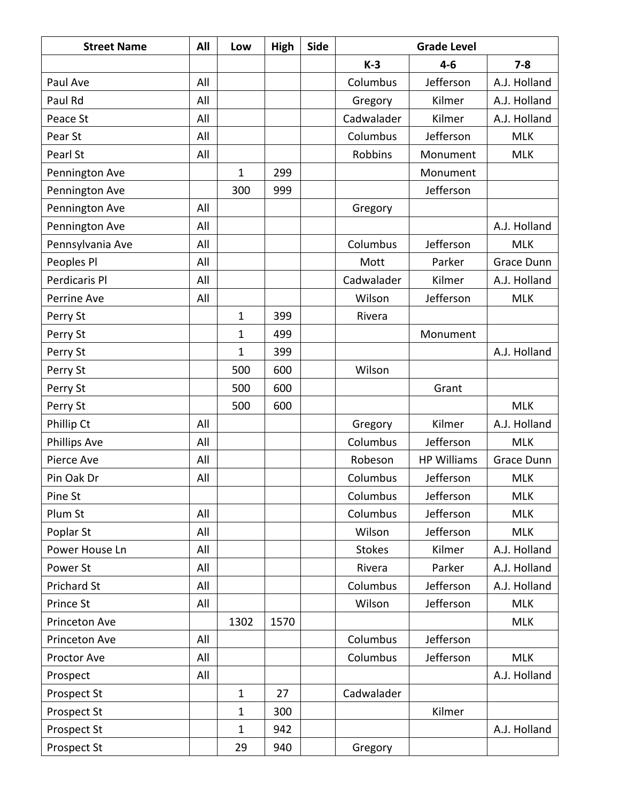| <b>Street Name</b>  | All | Low          | <b>High</b> | <b>Side</b> | <b>Grade Level</b> |                    |              |
|---------------------|-----|--------------|-------------|-------------|--------------------|--------------------|--------------|
|                     |     |              |             |             | $K-3$              | $4 - 6$            | $7 - 8$      |
| Paul Ave            | All |              |             |             | Columbus           | Jefferson          | A.J. Holland |
| Paul Rd             | All |              |             |             | Gregory            | Kilmer             | A.J. Holland |
| Peace St            | All |              |             |             | Cadwalader         | Kilmer             | A.J. Holland |
| Pear St             | All |              |             |             | Columbus           | Jefferson          | <b>MLK</b>   |
| Pearl St            | All |              |             |             | Robbins            | Monument           | <b>MLK</b>   |
| Pennington Ave      |     | $\mathbf{1}$ | 299         |             |                    | Monument           |              |
| Pennington Ave      |     | 300          | 999         |             |                    | Jefferson          |              |
| Pennington Ave      | All |              |             |             | Gregory            |                    |              |
| Pennington Ave      | All |              |             |             |                    |                    | A.J. Holland |
| Pennsylvania Ave    | All |              |             |             | Columbus           | Jefferson          | <b>MLK</b>   |
| Peoples Pl          | All |              |             |             | Mott               | Parker             | Grace Dunn   |
| Perdicaris Pl       | All |              |             |             | Cadwalader         | Kilmer             | A.J. Holland |
| Perrine Ave         | All |              |             |             | Wilson             | Jefferson          | <b>MLK</b>   |
| Perry St            |     | $\mathbf{1}$ | 399         |             | Rivera             |                    |              |
| Perry St            |     | $\mathbf{1}$ | 499         |             |                    | Monument           |              |
| Perry St            |     | $\mathbf{1}$ | 399         |             |                    |                    | A.J. Holland |
| Perry St            |     | 500          | 600         |             | Wilson             |                    |              |
| Perry St            |     | 500          | 600         |             |                    | Grant              |              |
| Perry St            |     | 500          | 600         |             |                    |                    | <b>MLK</b>   |
| Phillip Ct          | All |              |             |             | Gregory            | Kilmer             | A.J. Holland |
| <b>Phillips Ave</b> | All |              |             |             | Columbus           | Jefferson          | <b>MLK</b>   |
| Pierce Ave          | All |              |             |             | Robeson            | <b>HP Williams</b> | Grace Dunn   |
| Pin Oak Dr          | All |              |             |             | Columbus           | Jefferson          | <b>MLK</b>   |
| Pine St             |     |              |             |             | Columbus           | Jefferson          | <b>MLK</b>   |
| Plum St             | All |              |             |             | Columbus           | Jefferson          | <b>MLK</b>   |
| Poplar St           | All |              |             |             | Wilson             | Jefferson          | <b>MLK</b>   |
| Power House Ln      | All |              |             |             | <b>Stokes</b>      | Kilmer             | A.J. Holland |
| Power St            | All |              |             |             | Rivera             | Parker             | A.J. Holland |
| <b>Prichard St</b>  | All |              |             |             | Columbus           | Jefferson          | A.J. Holland |
| Prince St           | All |              |             |             | Wilson             | Jefferson          | <b>MLK</b>   |
| Princeton Ave       |     | 1302         | 1570        |             |                    |                    | <b>MLK</b>   |
| Princeton Ave       | All |              |             |             | Columbus           | Jefferson          |              |
| Proctor Ave         | All |              |             |             | Columbus           | Jefferson          | <b>MLK</b>   |
| Prospect            | All |              |             |             |                    |                    | A.J. Holland |
| Prospect St         |     | $\mathbf{1}$ | 27          |             | Cadwalader         |                    |              |
| Prospect St         |     | $\mathbf{1}$ | 300         |             |                    | Kilmer             |              |
| Prospect St         |     | $\mathbf 1$  | 942         |             |                    |                    | A.J. Holland |
| Prospect St         |     | 29           | 940         |             | Gregory            |                    |              |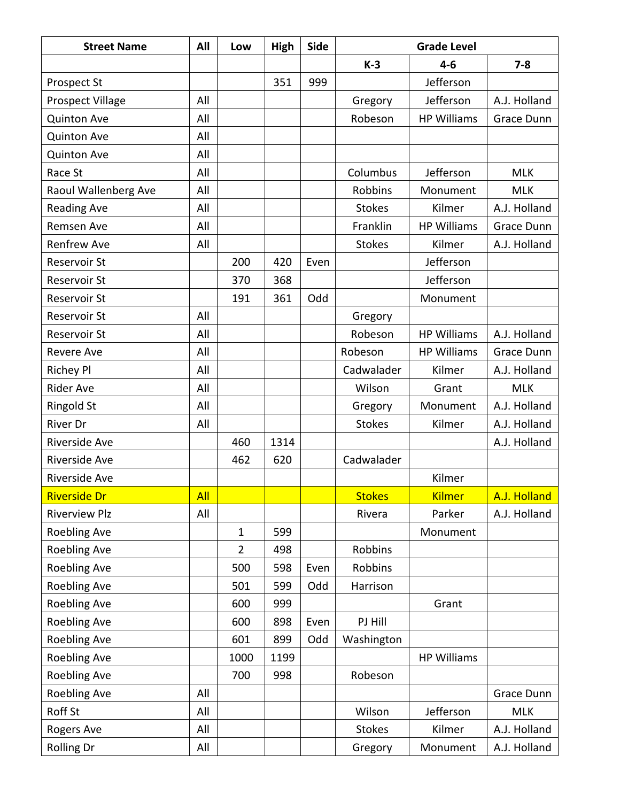| <b>Street Name</b>      | All | Low            | High | <b>Side</b> |               | <b>Grade Level</b> |                   |
|-------------------------|-----|----------------|------|-------------|---------------|--------------------|-------------------|
|                         |     |                |      |             | $K-3$         | $4 - 6$            | $7 - 8$           |
| Prospect St             |     |                | 351  | 999         |               | Jefferson          |                   |
| <b>Prospect Village</b> | All |                |      |             | Gregory       | Jefferson          | A.J. Holland      |
| <b>Quinton Ave</b>      | All |                |      |             | Robeson       | <b>HP Williams</b> | Grace Dunn        |
| <b>Quinton Ave</b>      | All |                |      |             |               |                    |                   |
| <b>Quinton Ave</b>      | All |                |      |             |               |                    |                   |
| Race St                 | All |                |      |             | Columbus      | Jefferson          | <b>MLK</b>        |
| Raoul Wallenberg Ave    | All |                |      |             | Robbins       | Monument           | <b>MLK</b>        |
| <b>Reading Ave</b>      | All |                |      |             | <b>Stokes</b> | Kilmer             | A.J. Holland      |
| Remsen Ave              | All |                |      |             | Franklin      | <b>HP Williams</b> | <b>Grace Dunn</b> |
| <b>Renfrew Ave</b>      | All |                |      |             | <b>Stokes</b> | Kilmer             | A.J. Holland      |
| <b>Reservoir St</b>     |     | 200            | 420  | Even        |               | Jefferson          |                   |
| <b>Reservoir St</b>     |     | 370            | 368  |             |               | Jefferson          |                   |
| <b>Reservoir St</b>     |     | 191            | 361  | Odd         |               | Monument           |                   |
| Reservoir St            | All |                |      |             | Gregory       |                    |                   |
| <b>Reservoir St</b>     | All |                |      |             | Robeson       | <b>HP Williams</b> | A.J. Holland      |
| <b>Revere Ave</b>       | All |                |      |             | Robeson       | <b>HP Williams</b> | <b>Grace Dunn</b> |
| <b>Richey Pl</b>        | All |                |      |             | Cadwalader    | Kilmer             | A.J. Holland      |
| <b>Rider Ave</b>        | All |                |      |             | Wilson        | Grant              | <b>MLK</b>        |
| <b>Ringold St</b>       | All |                |      |             | Gregory       | Monument           | A.J. Holland      |
| River Dr                | All |                |      |             | <b>Stokes</b> | Kilmer             | A.J. Holland      |
| Riverside Ave           |     | 460            | 1314 |             |               |                    | A.J. Holland      |
| Riverside Ave           |     | 462            | 620  |             | Cadwalader    |                    |                   |
| Riverside Ave           |     |                |      |             |               | Kilmer             |                   |
| <b>Riverside Dr</b>     | All |                |      |             | <b>Stokes</b> | <b>Kilmer</b>      | A.J. Holland      |
| <b>Riverview Plz</b>    | All |                |      |             | Rivera        | Parker             | A.J. Holland      |
| Roebling Ave            |     | $\mathbf{1}$   | 599  |             |               | Monument           |                   |
| <b>Roebling Ave</b>     |     | $\overline{2}$ | 498  |             | Robbins       |                    |                   |
| Roebling Ave            |     | 500            | 598  | Even        | Robbins       |                    |                   |
| Roebling Ave            |     | 501            | 599  | Odd         | Harrison      |                    |                   |
| Roebling Ave            |     | 600            | 999  |             |               | Grant              |                   |
| Roebling Ave            |     | 600            | 898  | Even        | PJ Hill       |                    |                   |
| Roebling Ave            |     | 601            | 899  | Odd         | Washington    |                    |                   |
| Roebling Ave            |     | 1000           | 1199 |             |               | <b>HP Williams</b> |                   |
| Roebling Ave            |     | 700            | 998  |             | Robeson       |                    |                   |
| Roebling Ave            | All |                |      |             |               |                    | Grace Dunn        |
| Roff St                 | All |                |      |             | Wilson        | Jefferson          | <b>MLK</b>        |
| Rogers Ave              | All |                |      |             | <b>Stokes</b> | Kilmer             | A.J. Holland      |
| <b>Rolling Dr</b>       | All |                |      |             | Gregory       | Monument           | A.J. Holland      |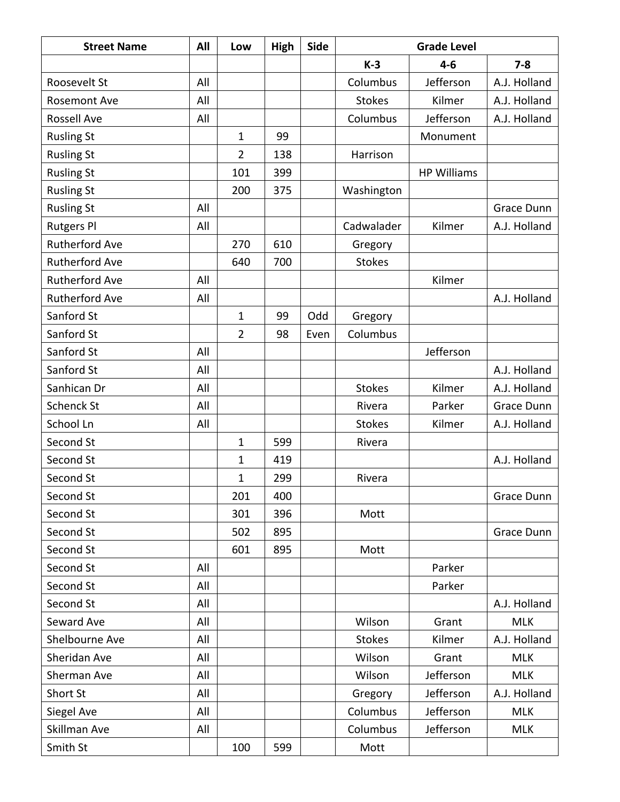| <b>Street Name</b>    | All | Low            | <b>High</b> | Side |               | <b>Grade Level</b> |              |
|-----------------------|-----|----------------|-------------|------|---------------|--------------------|--------------|
|                       |     |                |             |      | $K-3$         | $4 - 6$            | $7 - 8$      |
| Roosevelt St          | All |                |             |      | Columbus      | Jefferson          | A.J. Holland |
| <b>Rosemont Ave</b>   | All |                |             |      | <b>Stokes</b> | Kilmer             | A.J. Holland |
| <b>Rossell Ave</b>    | All |                |             |      | Columbus      | Jefferson          | A.J. Holland |
| <b>Rusling St</b>     |     | $\mathbf{1}$   | 99          |      |               | Monument           |              |
| <b>Rusling St</b>     |     | $\overline{2}$ | 138         |      | Harrison      |                    |              |
| <b>Rusling St</b>     |     | 101            | 399         |      |               | <b>HP Williams</b> |              |
| <b>Rusling St</b>     |     | 200            | 375         |      | Washington    |                    |              |
| <b>Rusling St</b>     | All |                |             |      |               |                    | Grace Dunn   |
| <b>Rutgers Pl</b>     | All |                |             |      | Cadwalader    | Kilmer             | A.J. Holland |
| <b>Rutherford Ave</b> |     | 270            | 610         |      | Gregory       |                    |              |
| <b>Rutherford Ave</b> |     | 640            | 700         |      | <b>Stokes</b> |                    |              |
| <b>Rutherford Ave</b> | All |                |             |      |               | Kilmer             |              |
| <b>Rutherford Ave</b> | All |                |             |      |               |                    | A.J. Holland |
| Sanford St            |     | $\mathbf{1}$   | 99          | Odd  | Gregory       |                    |              |
| Sanford St            |     | $\overline{2}$ | 98          | Even | Columbus      |                    |              |
| Sanford St            | All |                |             |      |               | Jefferson          |              |
| Sanford St            | All |                |             |      |               |                    | A.J. Holland |
| Sanhican Dr           | All |                |             |      | <b>Stokes</b> | Kilmer             | A.J. Holland |
| <b>Schenck St</b>     | All |                |             |      | Rivera        | Parker             | Grace Dunn   |
| School Ln             | All |                |             |      | <b>Stokes</b> | Kilmer             | A.J. Holland |
| Second St             |     | $\mathbf{1}$   | 599         |      | Rivera        |                    |              |
| Second St             |     | 1              | 419         |      |               |                    | A.J. Holland |
| Second St             |     | 1              | 299         |      | Rivera        |                    |              |
| Second St             |     | 201            | 400         |      |               |                    | Grace Dunn   |
| Second St             |     | 301            | 396         |      | Mott          |                    |              |
| Second St             |     | 502            | 895         |      |               |                    | Grace Dunn   |
| Second St             |     | 601            | 895         |      | Mott          |                    |              |
| Second St             | All |                |             |      |               | Parker             |              |
| Second St             | All |                |             |      |               | Parker             |              |
| Second St             | All |                |             |      |               |                    | A.J. Holland |
| Seward Ave            | All |                |             |      | Wilson        | Grant              | <b>MLK</b>   |
| Shelbourne Ave        | All |                |             |      | <b>Stokes</b> | Kilmer             | A.J. Holland |
| Sheridan Ave          | All |                |             |      | Wilson        | Grant              | <b>MLK</b>   |
| Sherman Ave           | All |                |             |      | Wilson        | Jefferson          | <b>MLK</b>   |
| Short St              | All |                |             |      | Gregory       | Jefferson          | A.J. Holland |
| Siegel Ave            | All |                |             |      | Columbus      | Jefferson          | <b>MLK</b>   |
| Skillman Ave          | All |                |             |      | Columbus      | Jefferson          | <b>MLK</b>   |
| Smith St              |     | 100            | 599         |      | Mott          |                    |              |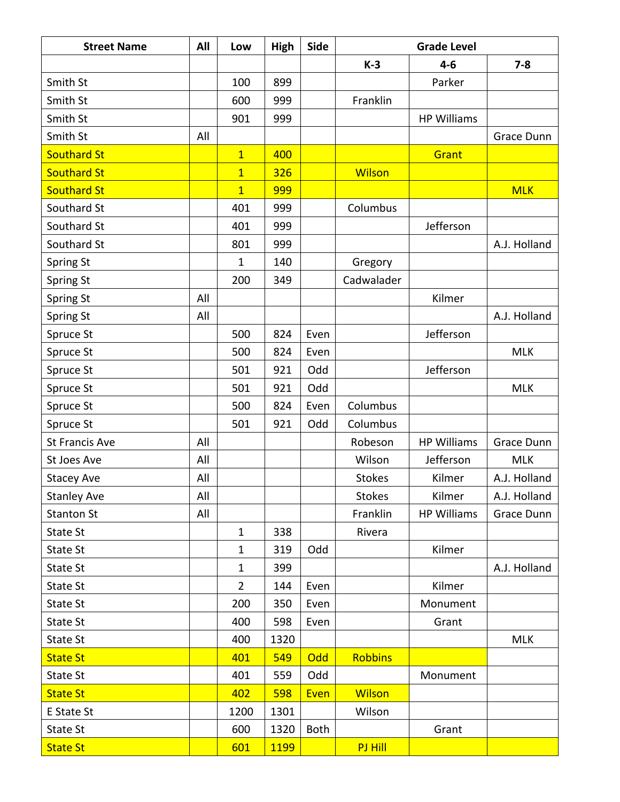| <b>Street Name</b>    | All | Low            | High        | Side        |                | <b>Grade Level</b> |              |
|-----------------------|-----|----------------|-------------|-------------|----------------|--------------------|--------------|
|                       |     |                |             |             | $K-3$          | $4 - 6$            | $7 - 8$      |
| Smith St              |     | 100            | 899         |             |                | Parker             |              |
| Smith St              |     | 600            | 999         |             | Franklin       |                    |              |
| Smith St              |     | 901            | 999         |             |                | <b>HP Williams</b> |              |
| Smith St              | All |                |             |             |                |                    | Grace Dunn   |
| <b>Southard St</b>    |     | $\overline{1}$ | 400         |             |                | Grant              |              |
| <b>Southard St</b>    |     | $\overline{1}$ | 326         |             | <b>Wilson</b>  |                    |              |
| <b>Southard St</b>    |     | $\overline{1}$ | 999         |             |                |                    | <b>MLK</b>   |
| Southard St           |     | 401            | 999         |             | Columbus       |                    |              |
| Southard St           |     | 401            | 999         |             |                | Jefferson          |              |
| Southard St           |     | 801            | 999         |             |                |                    | A.J. Holland |
| <b>Spring St</b>      |     | 1              | 140         |             | Gregory        |                    |              |
| Spring St             |     | 200            | 349         |             | Cadwalader     |                    |              |
| <b>Spring St</b>      | All |                |             |             |                | Kilmer             |              |
| Spring St             | All |                |             |             |                |                    | A.J. Holland |
| Spruce St             |     | 500            | 824         | Even        |                | Jefferson          |              |
| Spruce St             |     | 500            | 824         | Even        |                |                    | <b>MLK</b>   |
| Spruce St             |     | 501            | 921         | Odd         |                | Jefferson          |              |
| Spruce St             |     | 501            | 921         | Odd         |                |                    | <b>MLK</b>   |
| Spruce St             |     | 500            | 824         | Even        | Columbus       |                    |              |
| Spruce St             |     | 501            | 921         | Odd         | Columbus       |                    |              |
| <b>St Francis Ave</b> | All |                |             |             | Robeson        | <b>HP Williams</b> | Grace Dunn   |
| St Joes Ave           | All |                |             |             | Wilson         | Jefferson          | <b>MLK</b>   |
| <b>Stacey Ave</b>     | All |                |             |             | <b>Stokes</b>  | Kilmer             | A.J. Holland |
| <b>Stanley Ave</b>    | All |                |             |             | <b>Stokes</b>  | Kilmer             | A.J. Holland |
| <b>Stanton St</b>     | All |                |             |             | Franklin       | <b>HP Williams</b> | Grace Dunn   |
| State St              |     | $\mathbf{1}$   | 338         |             | Rivera         |                    |              |
| State St              |     | $\mathbf{1}$   | 319         | Odd         |                | Kilmer             |              |
| State St              |     | 1              | 399         |             |                |                    | A.J. Holland |
| State St              |     | $\overline{2}$ | 144         | Even        |                | Kilmer             |              |
| State St              |     | 200            | 350         | Even        |                | Monument           |              |
| State St              |     | 400            | 598         | Even        |                | Grant              |              |
| State St              |     | 400            | 1320        |             |                |                    | <b>MLK</b>   |
| <b>State St</b>       |     | 401            | 549         | Odd         | <b>Robbins</b> |                    |              |
| State St              |     | 401            | 559         | Odd         |                | Monument           |              |
| <b>State St</b>       |     | 402            | 598         | Even        | <b>Wilson</b>  |                    |              |
| E State St            |     | 1200           | 1301        |             | Wilson         |                    |              |
| State St              |     | 600            | 1320        | <b>Both</b> |                | Grant              |              |
| <b>State St</b>       |     | 601            | <b>1199</b> |             | PJ Hill        |                    |              |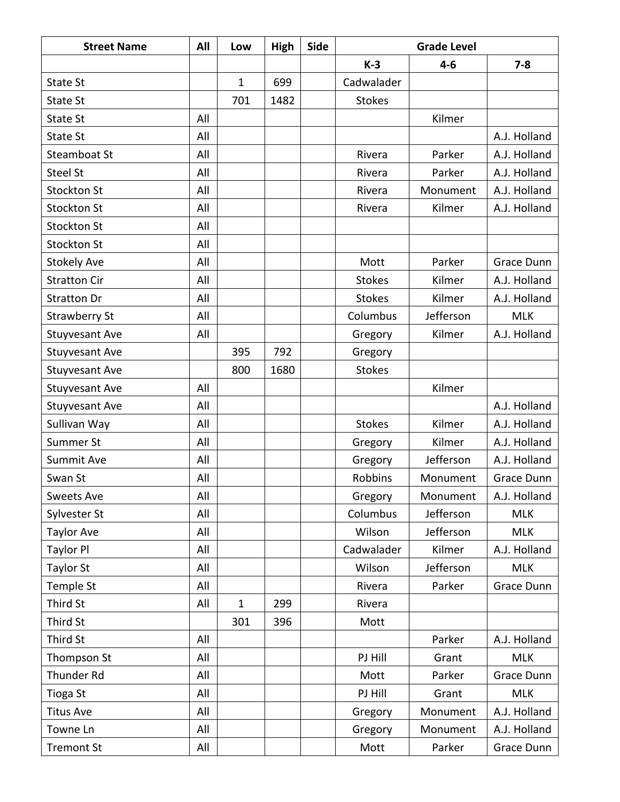| <b>Street Name</b>    | All | Low          | <b>High</b> | Side |               | <b>Grade Level</b> |              |
|-----------------------|-----|--------------|-------------|------|---------------|--------------------|--------------|
|                       |     |              |             |      | $K-3$         | $4 - 6$            | $7 - 8$      |
| State St              |     | $\mathbf{1}$ | 699         |      | Cadwalader    |                    |              |
| State St              |     | 701          | 1482        |      | <b>Stokes</b> |                    |              |
| State St              | All |              |             |      |               | Kilmer             |              |
| State St              | All |              |             |      |               |                    | A.J. Holland |
| <b>Steamboat St</b>   | All |              |             |      | Rivera        | Parker             | A.J. Holland |
| <b>Steel St</b>       | All |              |             |      | Rivera        | Parker             | A.J. Holland |
| <b>Stockton St</b>    | All |              |             |      | Rivera        | Monument           | A.J. Holland |
| <b>Stockton St</b>    | All |              |             |      | Rivera        | Kilmer             | A.J. Holland |
| <b>Stockton St</b>    | All |              |             |      |               |                    |              |
| <b>Stockton St</b>    | All |              |             |      |               |                    |              |
| <b>Stokely Ave</b>    | All |              |             |      | Mott          | Parker             | Grace Dunn   |
| <b>Stratton Cir</b>   | All |              |             |      | <b>Stokes</b> | Kilmer             | A.J. Holland |
| <b>Stratton Dr</b>    | All |              |             |      | <b>Stokes</b> | Kilmer             | A.J. Holland |
| <b>Strawberry St</b>  | All |              |             |      | Columbus      | Jefferson          | <b>MLK</b>   |
| <b>Stuyvesant Ave</b> | All |              |             |      | Gregory       | Kilmer             | A.J. Holland |
| <b>Stuyvesant Ave</b> |     | 395          | 792         |      | Gregory       |                    |              |
| <b>Stuyvesant Ave</b> |     | 800          | 1680        |      | <b>Stokes</b> |                    |              |
| <b>Stuyvesant Ave</b> | All |              |             |      |               | Kilmer             |              |
| <b>Stuyvesant Ave</b> | All |              |             |      |               |                    | A.J. Holland |
| Sullivan Way          | All |              |             |      | <b>Stokes</b> | Kilmer             | A.J. Holland |
| Summer St             | All |              |             |      | Gregory       | Kilmer             | A.J. Holland |
| <b>Summit Ave</b>     | All |              |             |      | Gregory       | Jefferson          | A.J. Holland |
| Swan St               | All |              |             |      | Robbins       | Monument           | Grace Dunn   |
| <b>Sweets Ave</b>     | All |              |             |      | Gregory       | Monument           | A.J. Holland |
| Sylvester St          | All |              |             |      | Columbus      | Jefferson          | <b>MLK</b>   |
| <b>Taylor Ave</b>     | All |              |             |      | Wilson        | Jefferson          | <b>MLK</b>   |
| <b>Taylor Pl</b>      | All |              |             |      | Cadwalader    | Kilmer             | A.J. Holland |
| <b>Taylor St</b>      | All |              |             |      | Wilson        | Jefferson          | <b>MLK</b>   |
| Temple St             | All |              |             |      | Rivera        | Parker             | Grace Dunn   |
| Third St              | All | $\mathbf{1}$ | 299         |      | Rivera        |                    |              |
| Third St              |     | 301          | 396         |      | Mott          |                    |              |
| Third St              | All |              |             |      |               | Parker             | A.J. Holland |
| Thompson St           | All |              |             |      | PJ Hill       | Grant              | <b>MLK</b>   |
| <b>Thunder Rd</b>     | All |              |             |      | Mott          | Parker             | Grace Dunn   |
| Tioga St              | All |              |             |      | PJ Hill       | Grant              | <b>MLK</b>   |
| <b>Titus Ave</b>      | All |              |             |      | Gregory       | Monument           | A.J. Holland |
| Towne Ln              | All |              |             |      | Gregory       | Monument           | A.J. Holland |
| <b>Tremont St</b>     | All |              |             |      | Mott          | Parker             | Grace Dunn   |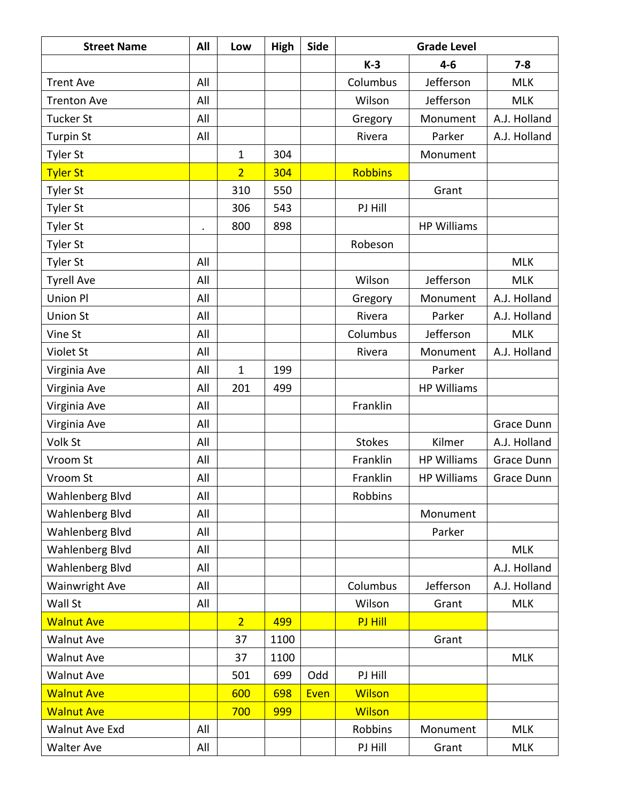| <b>Street Name</b>     | All | Low            | <b>High</b> | Side | <b>Grade Level</b> |                    |              |
|------------------------|-----|----------------|-------------|------|--------------------|--------------------|--------------|
|                        |     |                |             |      | $K-3$              | $4 - 6$            | $7 - 8$      |
| <b>Trent Ave</b>       | All |                |             |      | Columbus           | Jefferson          | <b>MLK</b>   |
| <b>Trenton Ave</b>     | All |                |             |      | Wilson             | Jefferson          | <b>MLK</b>   |
| <b>Tucker St</b>       | All |                |             |      | Gregory            | Monument           | A.J. Holland |
| <b>Turpin St</b>       | All |                |             |      | Rivera             | Parker             | A.J. Holland |
| <b>Tyler St</b>        |     | $\mathbf{1}$   | 304         |      |                    | Monument           |              |
| <b>Tyler St</b>        |     | $\overline{2}$ | 304         |      | <b>Robbins</b>     |                    |              |
| <b>Tyler St</b>        |     | 310            | 550         |      |                    | Grant              |              |
| <b>Tyler St</b>        |     | 306            | 543         |      | PJ Hill            |                    |              |
| <b>Tyler St</b>        |     | 800            | 898         |      |                    | <b>HP Williams</b> |              |
| <b>Tyler St</b>        |     |                |             |      | Robeson            |                    |              |
| <b>Tyler St</b>        | All |                |             |      |                    |                    | <b>MLK</b>   |
| <b>Tyrell Ave</b>      | All |                |             |      | Wilson             | Jefferson          | <b>MLK</b>   |
| Union Pl               | All |                |             |      | Gregory            | Monument           | A.J. Holland |
| <b>Union St</b>        | All |                |             |      | Rivera             | Parker             | A.J. Holland |
| Vine St                | All |                |             |      | Columbus           | Jefferson          | <b>MLK</b>   |
| Violet St              | All |                |             |      | Rivera             | Monument           | A.J. Holland |
| Virginia Ave           | All | $\mathbf{1}$   | 199         |      |                    | Parker             |              |
| Virginia Ave           | All | 201            | 499         |      |                    | <b>HP Williams</b> |              |
| Virginia Ave           | All |                |             |      | Franklin           |                    |              |
| Virginia Ave           | All |                |             |      |                    |                    | Grace Dunn   |
| Volk St                | All |                |             |      | <b>Stokes</b>      | Kilmer             | A.J. Holland |
| Vroom St               | All |                |             |      | Franklin           | <b>HP Williams</b> | Grace Dunn   |
| Vroom St               | All |                |             |      | Franklin           | <b>HP Williams</b> | Grace Dunn   |
| <b>Wahlenberg Blvd</b> | All |                |             |      | Robbins            |                    |              |
| <b>Wahlenberg Blvd</b> | All |                |             |      |                    | Monument           |              |
| Wahlenberg Blvd        | All |                |             |      |                    | Parker             |              |
| Wahlenberg Blvd        | All |                |             |      |                    |                    | <b>MLK</b>   |
| <b>Wahlenberg Blvd</b> | All |                |             |      |                    |                    | A.J. Holland |
| <b>Wainwright Ave</b>  | All |                |             |      | Columbus           | Jefferson          | A.J. Holland |
| Wall St                | All |                |             |      | Wilson             | Grant              | <b>MLK</b>   |
| <b>Walnut Ave</b>      |     | $\overline{2}$ | 499         |      | PJ Hill            |                    |              |
| <b>Walnut Ave</b>      |     | 37             | 1100        |      |                    | Grant              |              |
| <b>Walnut Ave</b>      |     | 37             | 1100        |      |                    |                    | <b>MLK</b>   |
| <b>Walnut Ave</b>      |     | 501            | 699         | Odd  | PJ Hill            |                    |              |
| <b>Walnut Ave</b>      |     | 600            | 698         | Even | <b>Wilson</b>      |                    |              |
| <b>Walnut Ave</b>      |     | 700            | 999         |      | <b>Wilson</b>      |                    |              |
| Walnut Ave Exd         | All |                |             |      | Robbins            | Monument           | <b>MLK</b>   |
| <b>Walter Ave</b>      | All |                |             |      | PJ Hill            | Grant              | <b>MLK</b>   |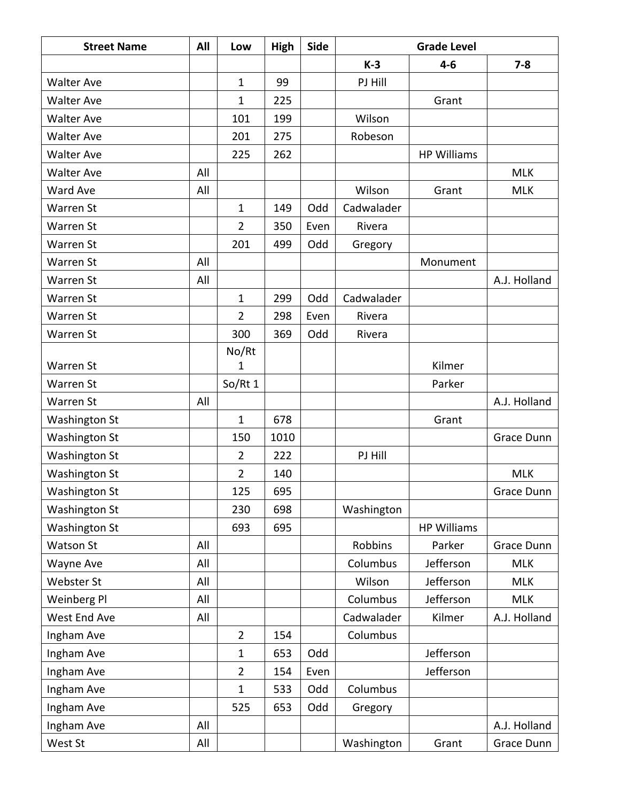| <b>Street Name</b>   | All | Low            | <b>High</b> | <b>Side</b> | <b>Grade Level</b> |                    |              |
|----------------------|-----|----------------|-------------|-------------|--------------------|--------------------|--------------|
|                      |     |                |             |             | $K-3$              | $4 - 6$            | $7 - 8$      |
| <b>Walter Ave</b>    |     | 1              | 99          |             | PJ Hill            |                    |              |
| <b>Walter Ave</b>    |     | $\mathbf 1$    | 225         |             |                    | Grant              |              |
| <b>Walter Ave</b>    |     | 101            | 199         |             | Wilson             |                    |              |
| <b>Walter Ave</b>    |     | 201            | 275         |             | Robeson            |                    |              |
| <b>Walter Ave</b>    |     | 225            | 262         |             |                    | <b>HP Williams</b> |              |
| <b>Walter Ave</b>    | All |                |             |             |                    |                    | <b>MLK</b>   |
| Ward Ave             | All |                |             |             | Wilson             | Grant              | <b>MLK</b>   |
| Warren St            |     | $\mathbf{1}$   | 149         | Odd         | Cadwalader         |                    |              |
| Warren St            |     | $\overline{2}$ | 350         | Even        | Rivera             |                    |              |
| <b>Warren St</b>     |     | 201            | 499         | Odd         | Gregory            |                    |              |
| Warren St            | All |                |             |             |                    | Monument           |              |
| Warren St            | All |                |             |             |                    |                    | A.J. Holland |
| <b>Warren St</b>     |     | 1              | 299         | Odd         | Cadwalader         |                    |              |
| Warren St            |     | $\overline{2}$ | 298         | Even        | Rivera             |                    |              |
| Warren St            |     | 300            | 369         | Odd         | Rivera             |                    |              |
|                      |     | No/Rt          |             |             |                    |                    |              |
| Warren St            |     | 1              |             |             |                    | Kilmer             |              |
| Warren St            |     | So/Rt 1        |             |             |                    | Parker             |              |
| Warren St            | All |                |             |             |                    |                    | A.J. Holland |
| <b>Washington St</b> |     | $\mathbf{1}$   | 678         |             |                    | Grant              |              |
| <b>Washington St</b> |     | 150            | 1010        |             |                    |                    | Grace Dunn   |
| <b>Washington St</b> |     | $\overline{2}$ | 222         |             | PJ Hill            |                    |              |
| <b>Washington St</b> |     | $\overline{2}$ | 140         |             |                    |                    | <b>MLK</b>   |
| <b>Washington St</b> |     | 125            | 695         |             |                    |                    | Grace Dunn   |
| <b>Washington St</b> |     | 230            | 698         |             | Washington         |                    |              |
| Washington St        |     | 693            | 695         |             |                    | <b>HP Williams</b> |              |
| <b>Watson St</b>     | All |                |             |             | Robbins            | Parker             | Grace Dunn   |
| Wayne Ave            | All |                |             |             | Columbus           | Jefferson          | <b>MLK</b>   |
| Webster St           | All |                |             |             | Wilson             | Jefferson          | <b>MLK</b>   |
| Weinberg Pl          | All |                |             |             | Columbus           | Jefferson          | <b>MLK</b>   |
| West End Ave         | All |                |             |             | Cadwalader         | Kilmer             | A.J. Holland |
| Ingham Ave           |     | $\overline{2}$ | 154         |             | Columbus           |                    |              |
| Ingham Ave           |     | $\mathbf{1}$   | 653         | Odd         |                    | Jefferson          |              |
| Ingham Ave           |     | $\overline{2}$ | 154         | Even        |                    | Jefferson          |              |
| Ingham Ave           |     | $\mathbf{1}$   | 533         | Odd         | Columbus           |                    |              |
| Ingham Ave           |     | 525            | 653         | Odd         | Gregory            |                    |              |
| Ingham Ave           | All |                |             |             |                    |                    | A.J. Holland |
| West St              | All |                |             |             | Washington         | Grant              | Grace Dunn   |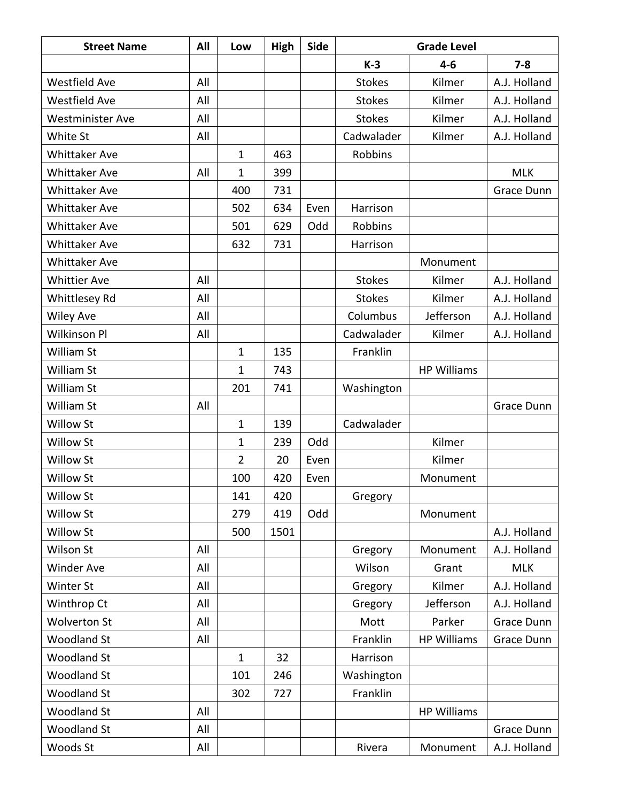| <b>Street Name</b>      | All | Low            | <b>High</b> | <b>Side</b> | <b>Grade Level</b> |                    |                   |
|-------------------------|-----|----------------|-------------|-------------|--------------------|--------------------|-------------------|
|                         |     |                |             |             | $K-3$              | $4 - 6$            | $7 - 8$           |
| <b>Westfield Ave</b>    | All |                |             |             | <b>Stokes</b>      | Kilmer             | A.J. Holland      |
| <b>Westfield Ave</b>    | All |                |             |             | <b>Stokes</b>      | Kilmer             | A.J. Holland      |
| <b>Westminister Ave</b> | All |                |             |             | <b>Stokes</b>      | Kilmer             | A.J. Holland      |
| White St                | All |                |             |             | Cadwalader         | Kilmer             | A.J. Holland      |
| <b>Whittaker Ave</b>    |     | $\mathbf{1}$   | 463         |             | Robbins            |                    |                   |
| <b>Whittaker Ave</b>    | All | 1              | 399         |             |                    |                    | <b>MLK</b>        |
| <b>Whittaker Ave</b>    |     | 400            | 731         |             |                    |                    | <b>Grace Dunn</b> |
| <b>Whittaker Ave</b>    |     | 502            | 634         | Even        | Harrison           |                    |                   |
| <b>Whittaker Ave</b>    |     | 501            | 629         | Odd         | Robbins            |                    |                   |
| <b>Whittaker Ave</b>    |     | 632            | 731         |             | Harrison           |                    |                   |
| <b>Whittaker Ave</b>    |     |                |             |             |                    | Monument           |                   |
| <b>Whittier Ave</b>     | All |                |             |             | <b>Stokes</b>      | Kilmer             | A.J. Holland      |
| Whittlesey Rd           | All |                |             |             | <b>Stokes</b>      | Kilmer             | A.J. Holland      |
| <b>Wiley Ave</b>        | All |                |             |             | Columbus           | Jefferson          | A.J. Holland      |
| Wilkinson Pl            | All |                |             |             | Cadwalader         | Kilmer             | A.J. Holland      |
| William St              |     | $\mathbf{1}$   | 135         |             | Franklin           |                    |                   |
| William St              |     | $\mathbf{1}$   | 743         |             |                    | <b>HP Williams</b> |                   |
| William St              |     | 201            | 741         |             | Washington         |                    |                   |
| William St              | All |                |             |             |                    |                    | Grace Dunn        |
| <b>Willow St</b>        |     | $\mathbf{1}$   | 139         |             | Cadwalader         |                    |                   |
| <b>Willow St</b>        |     | 1              | 239         | Odd         |                    | Kilmer             |                   |
| <b>Willow St</b>        |     | $\overline{2}$ | 20          | Even        |                    | Kilmer             |                   |
| <b>Willow St</b>        |     | 100            | 420         | Even        |                    | Monument           |                   |
| <b>Willow St</b>        |     | 141            | 420         |             | Gregory            |                    |                   |
| <b>Willow St</b>        |     | 279            | 419         | Odd         |                    | Monument           |                   |
| <b>Willow St</b>        |     | 500            | 1501        |             |                    |                    | A.J. Holland      |
| Wilson St               | All |                |             |             | Gregory            | Monument           | A.J. Holland      |
| <b>Winder Ave</b>       | All |                |             |             | Wilson             | Grant              | <b>MLK</b>        |
| Winter St               | All |                |             |             | Gregory            | Kilmer             | A.J. Holland      |
| Winthrop Ct             | All |                |             |             | Gregory            | Jefferson          | A.J. Holland      |
| <b>Wolverton St</b>     | All |                |             |             | Mott               | Parker             | Grace Dunn        |
| <b>Woodland St</b>      | All |                |             |             | Franklin           | <b>HP Williams</b> | Grace Dunn        |
| <b>Woodland St</b>      |     | $\mathbf{1}$   | 32          |             | Harrison           |                    |                   |
| <b>Woodland St</b>      |     | 101            | 246         |             | Washington         |                    |                   |
| <b>Woodland St</b>      |     | 302            | 727         |             | Franklin           |                    |                   |
| <b>Woodland St</b>      | All |                |             |             |                    | <b>HP Williams</b> |                   |
| <b>Woodland St</b>      | All |                |             |             |                    |                    | Grace Dunn        |
| Woods St                | All |                |             |             | Rivera             | Monument           | A.J. Holland      |